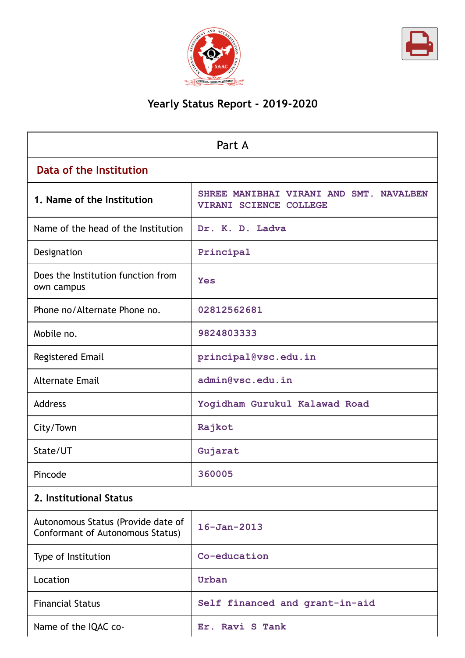



# **Yearly Status Report - 2019-2020**

| Part A                                                                 |                                                                   |  |  |
|------------------------------------------------------------------------|-------------------------------------------------------------------|--|--|
| Data of the Institution                                                |                                                                   |  |  |
| 1. Name of the Institution                                             | SHREE MANIBHAI VIRANI AND SMT. NAVALBEN<br>VIRANI SCIENCE COLLEGE |  |  |
| Name of the head of the Institution                                    | Dr. K. D. Ladva                                                   |  |  |
| Designation                                                            | Principal                                                         |  |  |
| Does the Institution function from<br>own campus                       | <b>Yes</b>                                                        |  |  |
| Phone no/Alternate Phone no.                                           | 02812562681                                                       |  |  |
| Mobile no.                                                             | 9824803333                                                        |  |  |
| <b>Registered Email</b>                                                | principal@vsc.edu.in                                              |  |  |
| <b>Alternate Email</b>                                                 | admin@vsc.edu.in                                                  |  |  |
| <b>Address</b>                                                         | Yogidham Gurukul Kalawad Road                                     |  |  |
| City/Town                                                              | Rajkot                                                            |  |  |
| State/UT                                                               | Gujarat                                                           |  |  |
| Pincode                                                                | 360005                                                            |  |  |
| 2. Institutional Status                                                |                                                                   |  |  |
| Autonomous Status (Provide date of<br>Conformant of Autonomous Status) | $16 - Jan - 2013$                                                 |  |  |
| Type of Institution                                                    | Co-education                                                      |  |  |
| Location                                                               | Urban                                                             |  |  |
| <b>Financial Status</b>                                                | Self financed and grant-in-aid                                    |  |  |
| Name of the IQAC co-                                                   | Er. Ravi S Tank                                                   |  |  |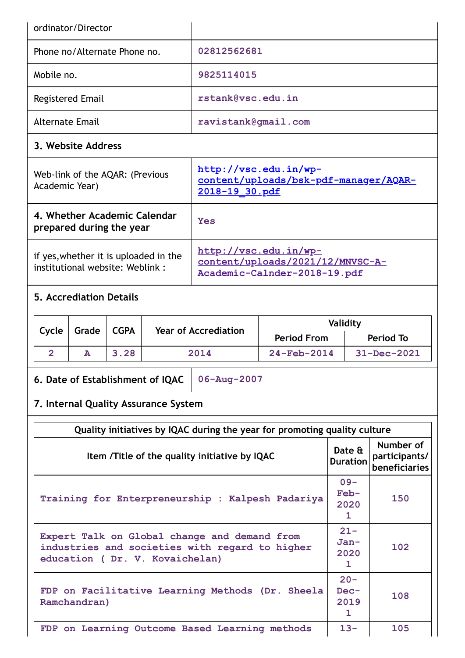| ordinator/Director                                                                                                               |             |                                                                                                |                                                                                           |                                                                           |                                             |                                 |
|----------------------------------------------------------------------------------------------------------------------------------|-------------|------------------------------------------------------------------------------------------------|-------------------------------------------------------------------------------------------|---------------------------------------------------------------------------|---------------------------------------------|---------------------------------|
| Phone no/Alternate Phone no.                                                                                                     |             | 02812562681                                                                                    |                                                                                           |                                                                           |                                             |                                 |
| Mobile no.                                                                                                                       |             |                                                                                                | 9825114015                                                                                |                                                                           |                                             |                                 |
| <b>Registered Email</b>                                                                                                          |             |                                                                                                | rstank@vsc.edu.in                                                                         |                                                                           |                                             |                                 |
| <b>Alternate Email</b>                                                                                                           |             |                                                                                                | ravistank@gmail.com                                                                       |                                                                           |                                             |                                 |
| 3. Website Address                                                                                                               |             |                                                                                                |                                                                                           |                                                                           |                                             |                                 |
| Web-link of the AQAR: (Previous<br>Academic Year)                                                                                |             | http://vsc.edu.in/wp-<br><u>content/uploads/bsk-pdf-manager/AQAR-</u><br><u>2018-19 30.pdf</u> |                                                                                           |                                                                           |                                             |                                 |
| 4. Whether Academic Calendar<br>prepared during the year                                                                         |             |                                                                                                | <b>Yes</b>                                                                                |                                                                           |                                             |                                 |
| if yes, whether it is uploaded in the<br>institutional website: Weblink:                                                         |             |                                                                                                | http://vsc.edu.in/wp-<br>content/uploads/2021/12/MNVSC-A-<br>Academic-Calnder-2018-19.pdf |                                                                           |                                             |                                 |
| <b>5. Accrediation Details</b>                                                                                                   |             |                                                                                                |                                                                                           |                                                                           |                                             |                                 |
| Cycle<br>Grade                                                                                                                   | <b>CGPA</b> |                                                                                                | <b>Year of Accrediation</b>                                                               |                                                                           | Validity                                    |                                 |
| $\overline{2}$<br>A                                                                                                              | 3.28        |                                                                                                | 2014                                                                                      | <b>Period From</b><br>24-Feb-2014                                         |                                             | <b>Period To</b><br>31-Dec-2021 |
| $06 - Aug - 2007$<br>6. Date of Establishment of IQAC                                                                            |             |                                                                                                |                                                                                           |                                                                           |                                             |                                 |
|                                                                                                                                  |             |                                                                                                |                                                                                           |                                                                           |                                             |                                 |
| 7. Internal Quality Assurance System                                                                                             |             |                                                                                                |                                                                                           |                                                                           |                                             |                                 |
|                                                                                                                                  |             |                                                                                                |                                                                                           | Quality initiatives by IQAC during the year for promoting quality culture |                                             |                                 |
| Item / Title of the quality initiative by IQAC                                                                                   |             |                                                                                                |                                                                                           | Date &<br><b>Duration</b>                                                 | Number of<br>participants/<br>beneficiaries |                                 |
| Training for Enterpreneurship : Kalpesh Padariya                                                                                 |             |                                                                                                |                                                                                           | $09 -$<br>$Feb-$<br>2020<br>$\mathbf{1}$                                  | 150                                         |                                 |
| Expert Talk on Global change and demand from<br>industries and societies with regard to higher<br>education (Dr. V. Kovaichelan) |             |                                                                                                | $21 -$                                                                                    |                                                                           |                                             |                                 |
|                                                                                                                                  |             |                                                                                                |                                                                                           |                                                                           | $Jan-$<br>2020<br>1.                        | 102                             |
| Ramchandran)                                                                                                                     |             |                                                                                                | FDP on Facilitative Learning Methods (Dr. Sheela                                          |                                                                           | $20 -$<br>Dec-<br>2019<br>1                 | 108                             |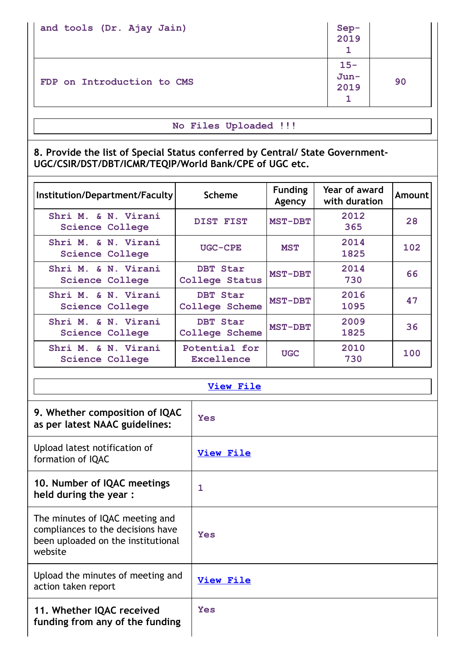| and tools (Dr. Ajay Jain)  | Sep-<br>2019              |    |
|----------------------------|---------------------------|----|
| FDP on Introduction to CMS | $15 -$<br>$Jun -$<br>2019 | 90 |

# **No Files Uploaded !!!**

**8. Provide the list of Special Status conferred by Central/ State Government-UGC/CSIR/DST/DBT/ICMR/TEQIP/World Bank/CPE of UGC etc.**

| Institution/Department/Faculty                | <b>Scheme</b>                     | <b>Funding</b><br>Agency | Year of award<br>with duration | Amount |
|-----------------------------------------------|-----------------------------------|--------------------------|--------------------------------|--------|
| Shri M. & N. Virani<br><b>Science College</b> | DIST FIST                         | <b>MST-DBT</b>           | 2012<br>365                    | 28     |
| Shri M. & N. Virani<br><b>Science College</b> | UGC-CPE                           | <b>MST</b>               | 2014<br>1825                   | 102    |
| Shri M. & N. Virani<br><b>Science College</b> | DBT Star<br><b>College Status</b> | <b>MST-DBT</b>           | 2014<br>730                    | 66     |
| Shri M. & N. Virani<br>Science College        | DBT Star<br><b>College Scheme</b> | <b>MST-DBT</b>           | 2016<br>1095                   | 47     |
| Shri M. & N. Virani<br>Science College        | DBT Star<br><b>College Scheme</b> | <b>MST-DBT</b>           | 2009<br>1825                   | 36     |
| Shri M. & N. Virani<br>Science College        | Potential for<br>Excellence       | <b>UGC</b>               | 2010<br>730                    | 100    |

**[View](https://assessmentonline.naac.gov.in/public/Postacc/Special_Status/18162_Special_Status.docx) File**

| 9. Whether composition of IQAC<br>as per latest NAAC guidelines:                                                      | Yes              |
|-----------------------------------------------------------------------------------------------------------------------|------------------|
| Upload latest notification of<br>formation of IQAC                                                                    | <b>View File</b> |
| 10. Number of IQAC meetings<br>held during the year :                                                                 | 1                |
| The minutes of IQAC meeting and<br>compliances to the decisions have<br>been uploaded on the institutional<br>website | Yes              |
| Upload the minutes of meeting and<br>action taken report                                                              | <b>View File</b> |
| 11. Whether IQAC received<br>funding from any of the funding                                                          | <b>Yes</b>       |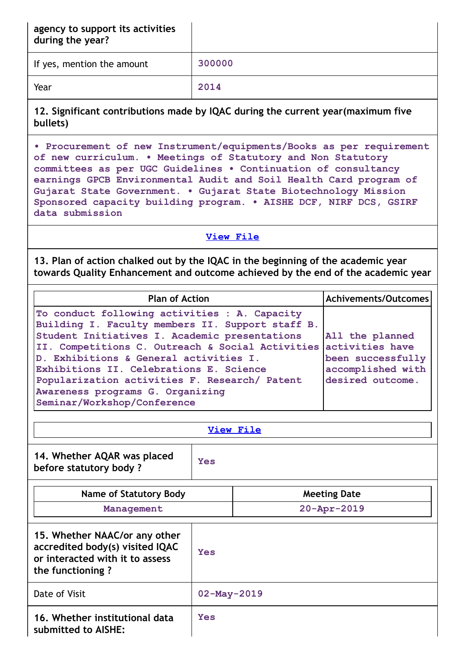| agency to support its activities |  |
|----------------------------------|--|
| during the year?                 |  |

If yes, mention the amount **300000**

Year **2014**

**12. Significant contributions made by IQAC during the current year(maximum five bullets)**

**• Procurement of new Instrument/equipments/Books as per requirement of new curriculum. • Meetings of Statutory and Non Statutory committees as per UGC Guidelines • Continuation of consultancy earnings GPCB Environmental Audit and Soil Health Card program of Gujarat State Government. • Gujarat State Biotechnology Mission Sponsored capacity building program. • AISHE DCF, NIRF DCS, GSIRF data submission**

**View [File](https://assessmentonline.naac.gov.in/public/Postacc/Contribution/18162_Contribution.xlsx)**

**13. Plan of action chalked out by the IQAC in the beginning of the academic year towards Quality Enhancement and outcome achieved by the end of the academic year**

| <b>Plan of Action</b>                                                                                                                                                                                                                                                                                                                                                                                                           | Achivements/Outcomes                                                          |
|---------------------------------------------------------------------------------------------------------------------------------------------------------------------------------------------------------------------------------------------------------------------------------------------------------------------------------------------------------------------------------------------------------------------------------|-------------------------------------------------------------------------------|
| To conduct following activities : A. Capacity<br>Building I. Faculty members II. Support staff B.<br>Student Initiatives I. Academic presentations<br>II. Competitions C. Outreach & Social Activities activities have<br>D. Exhibitions & General activities I.<br>Exhibitions II. Celebrations E. Science<br>Popularization activities F. Research/ Patent<br>Awareness programs G. Organizing<br>Seminar/Workshop/Conference | All the planned<br>been successfully<br>accomplished with<br>desired outcome. |

|--|

| 14. Whether AQAR was placed<br>before statutory body? | <b>Yes</b> |
|-------------------------------------------------------|------------|
|-------------------------------------------------------|------------|

| Name of Statutory Body                                                                                                  |                   | <b>Meeting Date</b> |
|-------------------------------------------------------------------------------------------------------------------------|-------------------|---------------------|
| Management                                                                                                              |                   | $20 - Appr - 2019$  |
| 15. Whether NAAC/or any other<br>accredited body(s) visited IQAC<br>or interacted with it to assess<br>the functioning? | <b>Yes</b>        |                     |
| Date of Visit                                                                                                           | $02 - May - 2019$ |                     |
| 16. Whether institutional data<br>submitted to AISHE:                                                                   | <b>Yes</b>        |                     |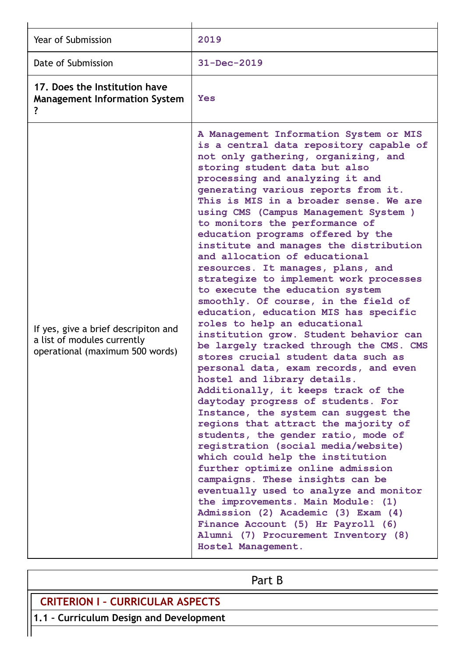| Year of Submission                                                                                     | 2019                                                                                                                                                                                                                                                                                                                                                                                                                                                                                                                                                                                                                                                                                                                                                                                                                                                                                                                                                                                                                                                                                                                                                                                                                                                                                                                                                                                                                                                                                               |
|--------------------------------------------------------------------------------------------------------|----------------------------------------------------------------------------------------------------------------------------------------------------------------------------------------------------------------------------------------------------------------------------------------------------------------------------------------------------------------------------------------------------------------------------------------------------------------------------------------------------------------------------------------------------------------------------------------------------------------------------------------------------------------------------------------------------------------------------------------------------------------------------------------------------------------------------------------------------------------------------------------------------------------------------------------------------------------------------------------------------------------------------------------------------------------------------------------------------------------------------------------------------------------------------------------------------------------------------------------------------------------------------------------------------------------------------------------------------------------------------------------------------------------------------------------------------------------------------------------------------|
| Date of Submission                                                                                     | $31 - Dec - 2019$                                                                                                                                                                                                                                                                                                                                                                                                                                                                                                                                                                                                                                                                                                                                                                                                                                                                                                                                                                                                                                                                                                                                                                                                                                                                                                                                                                                                                                                                                  |
| 17. Does the Institution have<br><b>Management Information System</b><br>?                             | <b>Yes</b>                                                                                                                                                                                                                                                                                                                                                                                                                                                                                                                                                                                                                                                                                                                                                                                                                                                                                                                                                                                                                                                                                                                                                                                                                                                                                                                                                                                                                                                                                         |
| If yes, give a brief descripiton and<br>a list of modules currently<br>operational (maximum 500 words) | A Management Information System or MIS<br>is a central data repository capable of<br>not only gathering, organizing, and<br>storing student data but also<br>processing and analyzing it and<br>generating various reports from it.<br>This is MIS in a broader sense. We are<br>using CMS (Campus Management System )<br>to monitors the performance of<br>education programs offered by the<br>institute and manages the distribution<br>and allocation of educational<br>resources. It manages, plans, and<br>strategize to implement work processes<br>to execute the education system<br>smoothly. Of course, in the field of<br>education, education MIS has specific<br>roles to help an educational<br>institution grow. Student behavior can<br>be largely tracked through the CMS. CMS<br>stores crucial student data such as<br>personal data, exam records, and even<br>hostel and library details.<br>Additionally, it keeps track of the<br>daytoday progress of students. For<br>Instance, the system can suggest the<br>regions that attract the majority of<br>students, the gender ratio, mode of<br>registration (social media/website)<br>which could help the institution<br>further optimize online admission<br>campaigns. These insights can be<br>eventually used to analyze and monitor<br>the improvements. Main Module: (1)<br>Admission (2) Academic (3) Exam (4)<br>Finance Account (5) Hr Payroll (6)<br>Alumni (7) Procurement Inventory (8)<br>Hostel Management. |

Part B

**CRITERION I – CURRICULAR ASPECTS**

**1.1 – Curriculum Design and Development**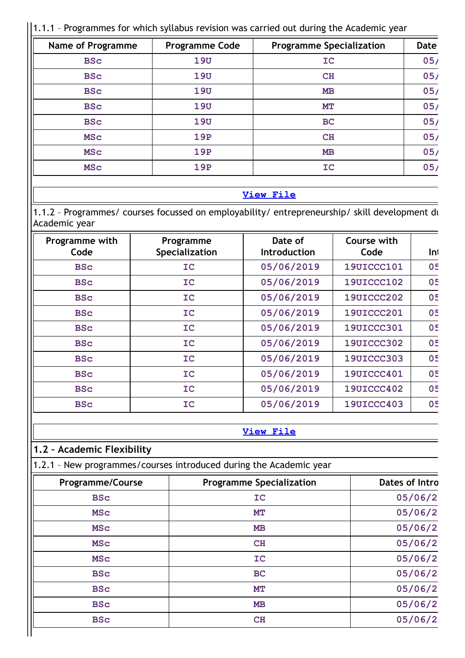# $\vert$ 1.1.1 - Programmes for which syllabus revision was carried out during the Academic year

| <b>Name of Programme</b> | <b>Programme Code</b> | <b>Programme Specialization</b> | <b>Date</b> |
|--------------------------|-----------------------|---------------------------------|-------------|
| <b>BSc</b>               | 19U                   | IC                              | 05/         |
| <b>BSc</b>               | 19U                   | CH                              | 05/         |
| <b>BSc</b>               | 19U                   | <b>MB</b>                       | 05/         |
| <b>BSc</b>               | 19U                   | MТ                              | 05/         |
| <b>BSc</b>               | 19U                   | <b>BC</b>                       | 05/         |
| <b>MSC</b>               | <b>19P</b>            | CH                              | 05/         |
| <b>MSC</b>               | <b>19P</b>            | <b>MB</b>                       | 05/         |
| <b>MSC</b>               | <b>19P</b>            | IC                              | 05/         |

## **View [File](https://assessmentonline.naac.gov.in/public/Postacc/Syllabus_revision/18162_Syllabus_revision_1640972691.xlsx)**

1.1.2 – Programmes/ courses focussed on employability/ entrepreneurship/ skill development du Academic year

| Programme with<br>Code | Programme<br>Specialization | Date of<br><b>Introduction</b> | Course with<br>Code | Int |
|------------------------|-----------------------------|--------------------------------|---------------------|-----|
| <b>BSc</b>             | IC                          | 05/06/2019                     | <b>19UICCC101</b>   | 05  |
| <b>BSc</b>             | <b>IC</b>                   | 05/06/2019                     | <b>19UICCC102</b>   | 05  |
| <b>BSc</b>             | <b>IC</b>                   | 05/06/2019                     | <b>19UICCC202</b>   | 05  |
| <b>BSc</b>             | <b>IC</b>                   | 05/06/2019                     | <b>19UICCC201</b>   | 05  |
| <b>BSc</b>             | <b>IC</b>                   | 05/06/2019                     | <b>19UICCC301</b>   | 05  |
| <b>BSc</b>             | IC                          | 05/06/2019                     | <b>19UICCC302</b>   | 05  |
| <b>BSc</b>             | <b>IC</b>                   | 05/06/2019                     | <b>19UICCC303</b>   | 05  |
| <b>BSc</b>             | <b>IC</b>                   | 05/06/2019                     | <b>19UICCC401</b>   | 05  |
| <b>BSc</b>             | IC                          | 05/06/2019                     | <b>19UICCC402</b>   | 05  |
| <b>BSc</b>             | IC                          | 05/06/2019                     | <b>19UICCC403</b>   | 05  |

## **View [File](https://assessmentonline.naac.gov.in/public/Postacc/programmes_on_employability/18162_programmes_on_employability_1641996880.xls)**

# **1.2 – Academic Flexibility**

1.2.1 – New programmes/courses introduced during the Academic year

| <b>Programme Specialization</b> | Dates of Intro |
|---------------------------------|----------------|
| IC                              | 05/06/2        |
| MT                              | 05/06/2        |
| MB                              | 05/06/2        |
| CH                              | 05/06/2        |
| IC                              | 05/06/2        |
| <b>BC</b>                       | 05/06/2        |
| MT                              | 05/06/2        |
| MB                              | 05/06/2        |
| CH                              | 05/06/2        |
|                                 |                |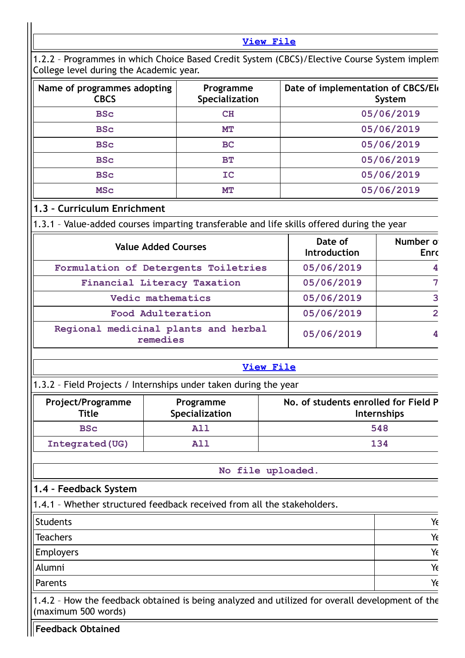**View [File](https://assessmentonline.naac.gov.in/public/Postacc/Program_introduced/18162_Program_introduced_1641997172.xlsx)**

| Name of programmes adopting<br><b>CBCS</b> | Programme<br>Specialization | Date of implementation of CBCS/Ele<br>System |
|--------------------------------------------|-----------------------------|----------------------------------------------|
| <b>BSc</b>                                 | CH                          | 05/06/2019                                   |
| <b>BSc</b>                                 | <b>MT</b>                   | 05/06/2019                                   |
| <b>BSc</b>                                 | <b>BC</b>                   | 05/06/2019                                   |
| <b>BSc</b>                                 | BT                          | 05/06/2019                                   |
| <b>BSc</b>                                 | IC                          | 05/06/2019                                   |
| <b>MSC</b>                                 | MT                          | 05/06/2019                                   |

## **1.3 – Curriculum Enrichment**

1.3.1 – Value-added courses imparting transferable and life skills offered during the year

| <b>Value Added Courses</b>                       | Date of<br><b>Introduction</b> | Number of<br><b>Enrc</b> |
|--------------------------------------------------|--------------------------------|--------------------------|
| Formulation of Detergents Toiletries             | 05/06/2019                     | 4                        |
| Financial Literacy Taxation                      | 05/06/2019                     |                          |
| Vedic mathematics                                | 05/06/2019                     | २                        |
| Food Adulteration                                | 05/06/2019                     | $\mathcal{P}$            |
| Regional medicinal plants and herbal<br>remedies | 05/06/2019                     |                          |

#### **View [File](https://assessmentonline.naac.gov.in/public/Postacc/Value_added_courses/18162_Value_added_courses_1641997684.xls)**

# 1.3.2 – Field Projects / Internships under taken during the year

| Project/Programme<br><b>Title</b> | Programme<br>Specialization | No. of students enrolled for Field P<br><b>Internships</b> |
|-----------------------------------|-----------------------------|------------------------------------------------------------|
| <b>BSc</b>                        | <b>All</b>                  | 548                                                        |
| Integrated (UG)                   | A11                         | 134                                                        |

**No file uploaded.**

## **1.4 – Feedback System**

1.4.1 – Whether structured feedback received from all the stakeholders.

| Students  | Y  |
|-----------|----|
| Teachers  | Yc |
| Employers | Yc |
| Alumni    | Yc |
| Parents   | Yc |

1.4.2 – How the feedback obtained is being analyzed and utilized for overall development of the (maximum 500 words)

**Feedback Obtained**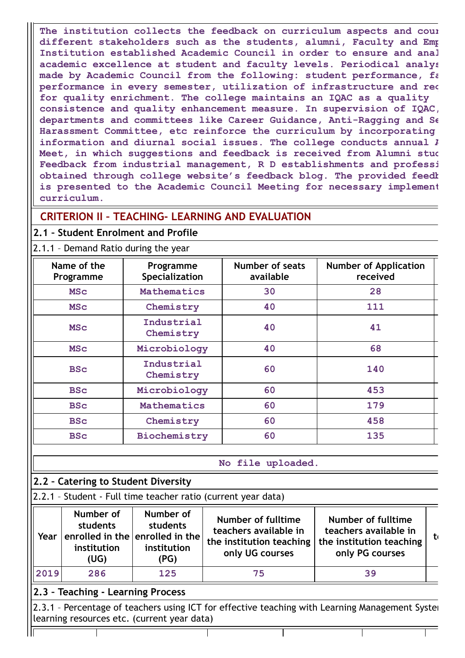**The institution collects the feedback on curriculum aspects and cour different stakeholders such as the students, alumni, Faculty and Emp Institution established Academic Council in order to ensure and anal academic excellence at student and faculty levels. Periodical analys made by Academic Council from the following: student performance, fa performance in every semester, utilization of infrastructure and req for quality enrichment. The college maintains an IQAC as a quality consistence and quality enhancement measure. In supervision of IQAC, departments and committees like Career Guidance, Anti-Ragging and Se Harassment Committee, etc reinforce the curriculum by incorporating information and diurnal social issues. The college conducts annual A Meet, in which suggestions and feedback is received from Alumni stud Feedback from industrial management, R D establishments and professi obtained through college website's feedback blog. The provided feedb is presented to the Academic Council Meeting for necessary implement curriculum.**

# **CRITERION II – TEACHING- LEARNING AND EVALUATION**

# **2.1 – Student Enrolment and Profile**

## 2.1.1 – Demand Ratio during the year

| Name of the<br>Programme | Programme<br>Specialization | Number of seats<br>available | <b>Number of Application</b><br>received |
|--------------------------|-----------------------------|------------------------------|------------------------------------------|
| <b>MSC</b>               | Mathematics                 | 30                           | 28                                       |
| <b>MSC</b>               | Chemistry                   | 40                           | 111                                      |
| <b>MSC</b>               | Industrial<br>Chemistry     | 40                           | 41                                       |
| <b>MSC</b>               | Microbiology                | 40                           | 68                                       |
| <b>BSc</b>               | Industrial<br>Chemistry     | 60                           | 140                                      |
| <b>BSc</b>               | Microbiology                | 60                           | 453                                      |
| <b>BSc</b>               | Mathematics                 | 60                           | 179                                      |
| <b>BSc</b>               | Chemistry                   | 60                           | 458                                      |
| <b>BSc</b>               | Biochemistry                | 60                           | 135                                      |

**No file uploaded.**

# **2.2 – Catering to Student Diversity**

|  | 2.2.1 - Student - Full time teacher ratio (current year data) |  |  |  |  |  |  |  |
|--|---------------------------------------------------------------|--|--|--|--|--|--|--|
|--|---------------------------------------------------------------|--|--|--|--|--|--|--|

| Year                                                                                                                                           | Number of<br>students<br>institution<br>(UG) | Number of<br>students<br>enrolled in the enrolled in the<br>institution<br>(PG) | Number of fulltime<br>teachers available in<br>the institution teaching<br>only UG courses | Number of fulltime<br>teachers available in<br>the institution teaching<br>only PG courses | -to |  |  |
|------------------------------------------------------------------------------------------------------------------------------------------------|----------------------------------------------|---------------------------------------------------------------------------------|--------------------------------------------------------------------------------------------|--------------------------------------------------------------------------------------------|-----|--|--|
| 2019                                                                                                                                           | 286                                          | 125                                                                             | 75                                                                                         | 39                                                                                         |     |  |  |
| 2.3 - Teaching - Learning Process                                                                                                              |                                              |                                                                                 |                                                                                            |                                                                                            |     |  |  |
| 2.3.1 - Percentage of teachers using ICT for effective teaching with Learning Management Syster<br>learning resources etc. (current year data) |                                              |                                                                                 |                                                                                            |                                                                                            |     |  |  |
|                                                                                                                                                |                                              |                                                                                 |                                                                                            |                                                                                            |     |  |  |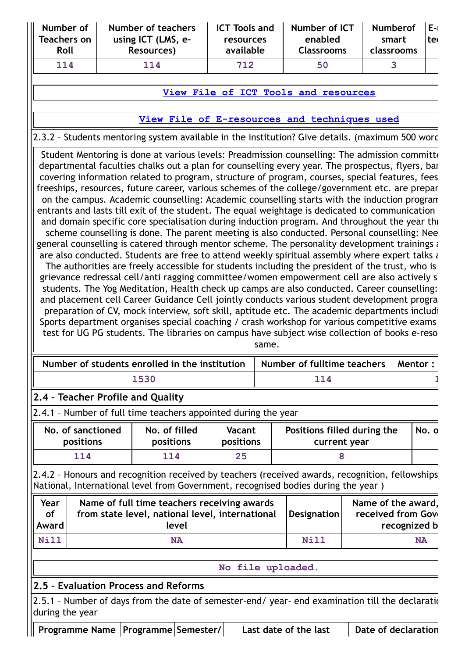| Number of<br><b>Teachers on</b><br>Roll | Number of teachers<br>using ICT (LMS, e-<br>Resources) | <b>ICT Tools and</b><br>resources<br>available | Number of ICT<br>enabled<br><b>Classrooms</b> | Numberof E-1<br>smart<br>classrooms | lter |
|-----------------------------------------|--------------------------------------------------------|------------------------------------------------|-----------------------------------------------|-------------------------------------|------|
| 114                                     | 114                                                    | 712                                            | 50                                            |                                     |      |

## **View File of ICT Tools and [resources](https://assessmentonline.naac.gov.in/public/Postacc/ict_tools/18162_ict_tools_1642054507.xlsx)**

## **View File of [E-resources](https://assessmentonline.naac.gov.in/public/Postacc/e_resource/18162_e_resource_1642054508.xlsx) and techniques used**

# 2.3.2 – Students mentoring system available in the institution? Give details. (maximum 500 word

Student Mentoring is done at various levels: Preadmission counselling: The admission committe departmental faculties chalks out a plan for counselling every year. The prospectus, flyers, bar covering information related to program, structure of program, courses, special features, fees freeships, resources, future career, various schemes of the college/government etc. are prepar on the campus. Academic counselling: Academic counselling starts with the induction program entrants and lasts till exit of the student. The equal weightage is dedicated to communication and domain specific core specialisation during induction program. And throughout the year thr

scheme counselling is done. The parent meeting is also conducted. Personal counselling: Nee general counselling is catered through mentor scheme. The personality development trainings a are also conducted. Students are free to attend weekly spiritual assembly where expert talks a The authorities are freely accessible for students including the president of the trust, who is

grievance redressal cell/anti ragging committee/women empowerment cell are also actively su students. The Yog Meditation, Health check up camps are also conducted. Career counselling: and placement cell Career Guidance Cell jointly conducts various student development progra preparation of CV, mock interview, soft skill, aptitude etc. The academic departments includi Sports department organises special coaching / crash workshop for various competitive exams test for UG PG students. The libraries on campus have subject wise collection of books e-reso

same.

| Number of students enrolled in the institution   Number of fulltime teachers   Mentor : |       |  |
|-----------------------------------------------------------------------------------------|-------|--|
| 1530                                                                                    | 1 1 4 |  |

# **2.4 – Teacher Profile and Quality**

2.4.1 – Number of full time teachers appointed during the year

| No. of sanctioned | No. of filled    | <b>Vacant</b> | Positions filled during the | No. o |
|-------------------|------------------|---------------|-----------------------------|-------|
| <b>positions</b>  | <b>positions</b> | positions     | current year                |       |
| l 1 4             | 114              | 25            |                             |       |

2.4.2 – Honours and recognition received by teachers (received awards, recognition, fellowships National, International level from Government, recognised bodies during the year )

| Year      | Name of full time teachers receiving awards     | Designation | Name of the award, |
|-----------|-------------------------------------------------|-------------|--------------------|
| <b>of</b> | from state level, national level, international |             | received from Gove |
| Award     | level                                           |             | recognized b       |
| Nill      | NA                                              | Nill        | <b>NA</b>          |

#### **No file uploaded.**

## **2.5 – Evaluation Process and Reforms**

2.5.1 - Number of days from the date of semester-end/ year- end examination till the declaration during the year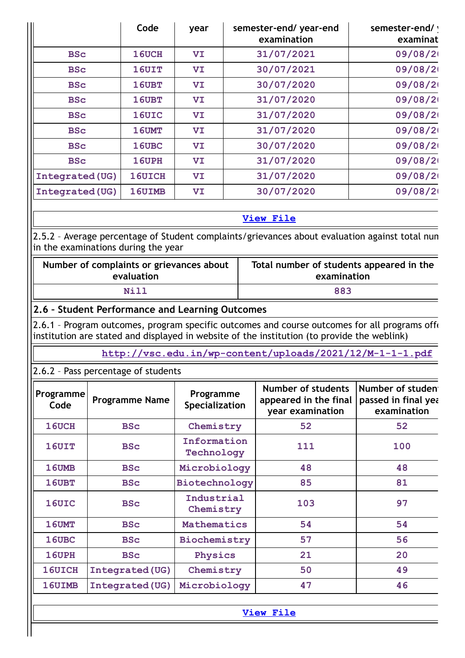|                 | Code         | year | semester-end/year-end<br>examination | semester-end/ \<br>examinat |
|-----------------|--------------|------|--------------------------------------|-----------------------------|
| <b>BSc</b>      | 16UCH        | VI   | 31/07/2021                           | 09/08/2                     |
| <b>BSc</b>      | <b>16UIT</b> | VI   | 30/07/2021                           | 09/08/2                     |
| <b>BSc</b>      | 16UBT        | VI   | 30/07/2020                           | 09/08/2                     |
| <b>BSc</b>      | 16UBT        | VI   | 31/07/2020                           | 09/08/2                     |
| <b>BSc</b>      | 16UIC        | VI   | 31/07/2020                           | 09/08/2                     |
| <b>BSc</b>      | 16UMT        | VI   | 31/07/2020                           | 09/08/2                     |
| <b>BSc</b>      | 16UBC        | VI   | 30/07/2020                           | 09/08/2                     |
| <b>BSc</b>      | 16UPH        | VI   | 31/07/2020                           | 09/08/2                     |
| Integrated (UG) | 16UICH       | VI   | 31/07/2020                           | 09/08/2                     |
| Integrated (UG) | 16UIMB       | VI   | 30/07/2020                           | 09/08/2                     |

# **View [File](https://assessmentonline.naac.gov.in/public/Postacc/Evaluation/18162_Evaluation_1642061377.xls)**

2.5.2 – Average percentage of Student complaints/grievances about evaluation against total num in the examinations during the year

| Number of complaints or grievances about | Total number of students appeared in the |
|------------------------------------------|------------------------------------------|
| evaluation                               | examination                              |
| Nill                                     | 883                                      |

## **2.6 – Student Performance and Learning Outcomes**

 $2.6.1$  - Program outcomes, program specific outcomes and course outcomes for all programs off $\epsilon$ institution are stated and displayed in website of the institution (to provide the weblink)

**<http://vsc.edu.in/wp-content/uploads/2021/12/M-1-1-1.pdf>**

2.6.2 – Pass percentage of students

| Programme<br>Code | <b>Programme Name</b>  | Programme<br>Specialization | Number of students<br>appeared in the final<br>year examination | Number of studen<br>passed in final yea<br>examination |
|-------------------|------------------------|-----------------------------|-----------------------------------------------------------------|--------------------------------------------------------|
| 16UCH             | <b>BSc</b>             | Chemistry                   | 52                                                              | 52                                                     |
| <b>16UIT</b>      | <b>BSc</b>             | Information<br>Technology   | 111                                                             | 100                                                    |
| 16UMB             | <b>BSc</b>             | Microbiology                | 48                                                              | 48                                                     |
| 16UBT             | <b>BSc</b>             | Biotechnology               | 85                                                              | 81                                                     |
| 16UIC             | <b>BSc</b>             | Industrial<br>Chemistry     | 103                                                             | 97                                                     |
| 16UMT             | <b>BSc</b>             | Mathematics                 | 54                                                              | 54                                                     |
| 16UBC             | <b>BSc</b>             | Biochemistry                | 57                                                              | 56                                                     |
| 16UPH             | <b>BSc</b>             | Physics                     | 21                                                              | 20                                                     |
| 16UICH            | <b>Integrated (UG)</b> | Chemistry                   | 50                                                              | 49                                                     |
| 16UIMB            | <b>Integrated (UG)</b> | Microbiology                | 47                                                              | 46                                                     |

**View [File](https://assessmentonline.naac.gov.in/public/Postacc/Pass_percentage/18162_Pass_percentage_1642061673.xls)**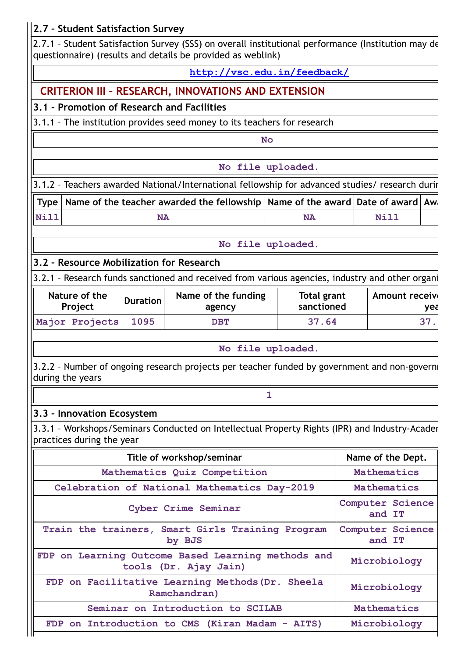# **2.7 – Student Satisfaction Survey**

2.7.1 – Student Satisfaction Survey (SSS) on overall institutional performance (Institution may de questionnaire) (results and details be provided as weblink)

**<http://vsc.edu.in/feedback/>**

# **CRITERION III – RESEARCH, INNOVATIONS AND EXTENSION**

# **3.1 – Promotion of Research and Facilities**

3.1.1 – The institution provides seed money to its teachers for research

**No**

**No file uploaded.**

3.1.2 – Teachers awarded National/International fellowship for advanced studies/ research durin

**Type** | Name of the teacher awarded the fellowship | Name of the award | Date of award | Awa **Nill NA NA Nill**

**No file uploaded.**

# **3.2 – Resource Mobilization for Research**

3.2.1 – Research funds sanctioned and received from various agencies, industry and other organi

| Nature of the  | <b>Duration</b> | Name of the funding | Total grant | <b>Amount receive</b> |
|----------------|-----------------|---------------------|-------------|-----------------------|
| Project        |                 | agency              | sanctioned  | vea                   |
| Major Projects | 1095            | $\mathbf{DBT}$      | 37.64       | 37                    |

#### **No file uploaded.**

**1**

3.2.2 - Number of ongoing research projects per teacher funded by government and non-governi during the years

## **3.3 – Innovation Ecosystem**

3.3.1 – Workshops/Seminars Conducted on Intellectual Property Rights (IPR) and Industry-Academ practices during the year

| Title of workshop/seminar                                                   | Name of the Dept.          |
|-----------------------------------------------------------------------------|----------------------------|
| Mathematics Quiz Competition                                                | Mathematics                |
| Celebration of National Mathematics Day-2019                                | Mathematics                |
| Cyber Crime Seminar                                                         | Computer Science<br>and IT |
| Train the trainers, Smart Girls Training Program<br>by BJS                  | Computer Science<br>and IT |
| FDP on Learning Outcome Based Learning methods and<br>tools (Dr. Ajay Jain) | Microbiology               |
| FDP on Facilitative Learning Methods (Dr. Sheela<br>Ramchandran)            | Microbiology               |
| Seminar on Introduction to SCILAB                                           | Mathematics                |
| FDP on Introduction to CMS (Kiran Madam - AITS)                             | Microbiology               |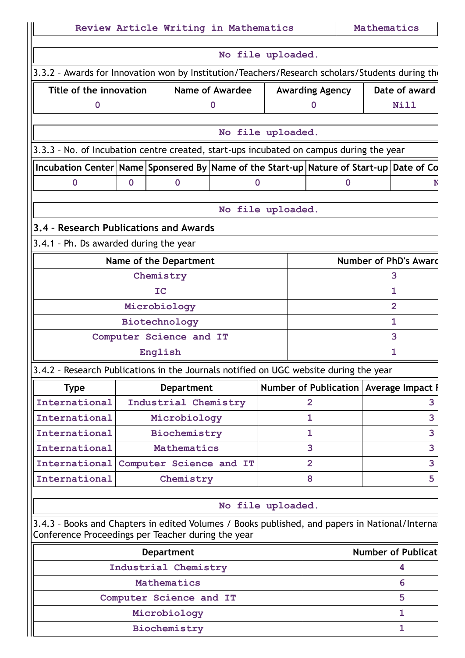|                                                                                                                                                       |             | Review Article Writing in Mathematics |                        |                |                                          | Mathematics |                              |
|-------------------------------------------------------------------------------------------------------------------------------------------------------|-------------|---------------------------------------|------------------------|----------------|------------------------------------------|-------------|------------------------------|
|                                                                                                                                                       |             |                                       | No file uploaded.      |                |                                          |             |                              |
| 3.3.2 - Awards for Innovation won by Institution/Teachers/Research scholars/Students during the                                                       |             |                                       |                        |                |                                          |             |                              |
| Title of the innovation                                                                                                                               |             |                                       | <b>Name of Awardee</b> |                | <b>Awarding Agency</b>                   |             | Date of award                |
| $\mathbf 0$                                                                                                                                           |             |                                       | $\mathbf 0$            |                | $\bf{0}$                                 |             | <b>Nill</b>                  |
|                                                                                                                                                       |             |                                       |                        |                |                                          |             |                              |
|                                                                                                                                                       |             |                                       | No file uploaded.      |                |                                          |             |                              |
| 3.3.3 - No. of Incubation centre created, start-ups incubated on campus during the year                                                               |             |                                       |                        |                |                                          |             |                              |
| Incubation Center Name Sponsered By Name of the Start-up Nature of Start-up Date of Co<br>$\mathbf 0$                                                 | $\mathbf 0$ | $\mathbf{0}$                          | $\mathbf 0$            |                | $\mathbf 0$                              |             | N                            |
|                                                                                                                                                       |             |                                       |                        |                |                                          |             |                              |
|                                                                                                                                                       |             |                                       | No file uploaded.      |                |                                          |             |                              |
| 3.4 - Research Publications and Awards                                                                                                                |             |                                       |                        |                |                                          |             |                              |
| 3.4.1 - Ph. Ds awarded during the year                                                                                                                |             |                                       |                        |                |                                          |             |                              |
|                                                                                                                                                       |             | Name of the Department                |                        |                |                                          |             | <b>Number of PhD's Awarc</b> |
|                                                                                                                                                       |             | Chemistry                             |                        |                |                                          |             | 3                            |
|                                                                                                                                                       |             | IC                                    |                        |                |                                          |             | 1                            |
|                                                                                                                                                       |             | Microbiology                          |                        |                |                                          |             | $\overline{2}$               |
|                                                                                                                                                       |             | Biotechnology                         |                        |                |                                          |             | $\mathbf{1}$                 |
|                                                                                                                                                       |             | Computer Science and IT               |                        |                |                                          |             | 3                            |
|                                                                                                                                                       |             | English                               |                        |                |                                          |             | 1                            |
| 3.4.2 - Research Publications in the Journals notified on UGC website during the year                                                                 |             |                                       |                        |                |                                          |             |                              |
| <b>Type</b>                                                                                                                                           |             | <b>Department</b>                     |                        |                | Number of Publication   Average Impact I |             |                              |
| International                                                                                                                                         |             | Industrial Chemistry                  |                        | $\overline{2}$ |                                          |             | 3                            |
| International                                                                                                                                         |             | Microbiology                          |                        | 1              |                                          |             | 3                            |
| International                                                                                                                                         |             | Biochemistry                          |                        | $\mathbf{1}$   |                                          |             | 3                            |
| International                                                                                                                                         |             | Mathematics                           |                        | 3              |                                          |             | $\overline{\mathbf{3}}$      |
| International                                                                                                                                         |             | Computer Science and IT               |                        | $\overline{2}$ |                                          |             | $\overline{\mathbf{3}}$      |
| International                                                                                                                                         |             | Chemistry                             |                        | 8              |                                          |             | 5                            |
|                                                                                                                                                       |             |                                       | No file uploaded.      |                |                                          |             |                              |
| 3.4.3 - Books and Chapters in edited Volumes / Books published, and papers in National/Internat<br>Conference Proceedings per Teacher during the year |             |                                       |                        |                |                                          |             |                              |
|                                                                                                                                                       |             | <b>Department</b>                     |                        |                |                                          |             | <b>Number of Publicat</b>    |
|                                                                                                                                                       |             | Industrial Chemistry                  |                        |                |                                          |             | 4                            |
|                                                                                                                                                       |             | Mathematics                           |                        |                |                                          |             | 6                            |
|                                                                                                                                                       |             | Computer Science and IT               |                        |                |                                          |             | 5                            |
|                                                                                                                                                       |             | Microbiology                          |                        |                |                                          |             | $\mathbf{1}$                 |
|                                                                                                                                                       |             | Biochemistry                          |                        |                |                                          |             | $\mathbf{1}$                 |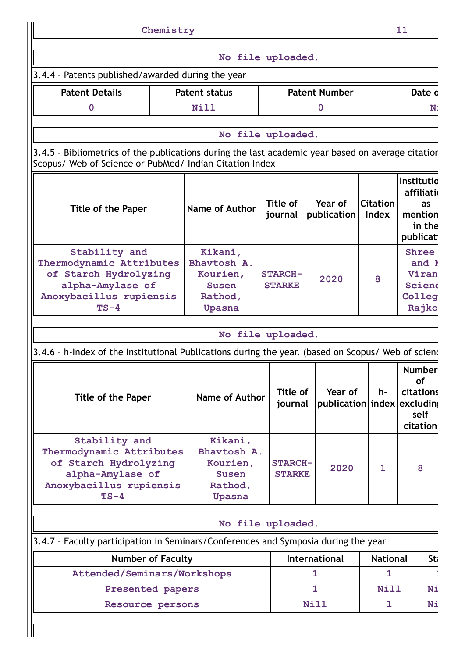|                                                                                                                                                              | Chemistry |                                                                                                                    |  |                                 |              |                                        |                                 | 11                                                          |                                                |
|--------------------------------------------------------------------------------------------------------------------------------------------------------------|-----------|--------------------------------------------------------------------------------------------------------------------|--|---------------------------------|--------------|----------------------------------------|---------------------------------|-------------------------------------------------------------|------------------------------------------------|
|                                                                                                                                                              |           | No file uploaded.                                                                                                  |  |                                 |              |                                        |                                 |                                                             |                                                |
| 3.4.4 - Patents published/awarded during the year                                                                                                            |           |                                                                                                                    |  |                                 |              |                                        |                                 |                                                             |                                                |
| <b>Patent Details</b>                                                                                                                                        |           | <b>Patent status</b>                                                                                               |  |                                 |              | <b>Patent Number</b>                   |                                 |                                                             | Date o                                         |
| $\bf{0}$                                                                                                                                                     |           | <b>Nill</b>                                                                                                        |  |                                 |              | 0                                      |                                 |                                                             | N:                                             |
|                                                                                                                                                              |           | No file uploaded.                                                                                                  |  |                                 |              |                                        |                                 |                                                             |                                                |
| 3.4.5 - Bibliometrics of the publications during the last academic year based on average citation<br>Scopus/ Web of Science or PubMed/ Indian Citation Index |           |                                                                                                                    |  |                                 |              |                                        |                                 |                                                             |                                                |
| <b>Title of the Paper</b>                                                                                                                                    |           | Name of Author                                                                                                     |  | Title of<br>journal             |              | Year of<br>publication                 | <b>Citation</b><br><b>Index</b> | Institutio<br>publicati                                     | affiliatio<br>as<br>mention<br>in the          |
| Stability and<br>Thermodynamic Attributes<br>of Starch Hydrolyzing<br>alpha-Amylase of<br>Anoxybacillus rupiensis<br>$TS-4$                                  |           | Kikani,<br>Bhavtosh A.<br>Kourien,<br><b>STARCH-</b><br>2020<br><b>Susen</b><br><b>STARKE</b><br>Rathod,<br>Upasna |  |                                 |              | 8                                      |                                 | <b>Shree</b><br>and N<br>Viran<br>Scienc<br>Colleg<br>Rajko |                                                |
|                                                                                                                                                              |           | No file uploaded.                                                                                                  |  |                                 |              |                                        |                                 |                                                             |                                                |
| 3.4.6 - h-Index of the Institutional Publications during the year. (based on Scopus/ Web of sciend                                                           |           |                                                                                                                    |  |                                 |              |                                        |                                 |                                                             |                                                |
| Title of the Paper                                                                                                                                           |           | Name of Author                                                                                                     |  | Title of<br>journal             |              | Year of<br>publication index excluding | h-                              | citations                                                   | <b>Number</b><br><b>of</b><br>self<br>citation |
| Stability and<br>Thermodynamic Attributes<br>of Starch Hydrolyzing<br>alpha-Amylase of<br>Anoxybacillus rupiensis<br>$TS-4$                                  |           | Kikani,<br>Bhavtosh A.<br>Kourien,<br><b>Susen</b><br>Rathod,<br>Upasna                                            |  | <b>STARCH-</b><br><b>STARKE</b> |              | 2020                                   | 1                               |                                                             | 8                                              |
|                                                                                                                                                              |           | No file uploaded.                                                                                                  |  |                                 |              |                                        |                                 |                                                             |                                                |
| 3.4.7 - Faculty participation in Seminars/Conferences and Symposia during the year                                                                           |           |                                                                                                                    |  |                                 |              |                                        |                                 |                                                             |                                                |
| <b>Number of Faculty</b>                                                                                                                                     |           |                                                                                                                    |  |                                 |              | International                          | <b>National</b>                 |                                                             | Sti                                            |
| Attended/Seminars/Workshops                                                                                                                                  |           |                                                                                                                    |  |                                 | $\mathbf{1}$ |                                        | $\mathbf{1}$                    |                                                             |                                                |
| Presented papers                                                                                                                                             |           |                                                                                                                    |  |                                 | 1            |                                        | Nill                            |                                                             | Ni                                             |
| Resource persons                                                                                                                                             |           |                                                                                                                    |  |                                 | <b>Nill</b>  |                                        | $\mathbf{1}$                    |                                                             | Ni                                             |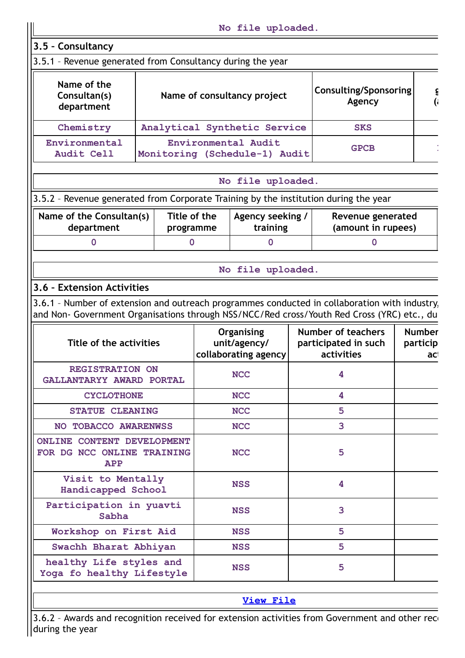|                                                                                      |                           |                                                                                                                                                                                                                                                   | No file uploaded.                                    |                                                                 |  |                                  |
|--------------------------------------------------------------------------------------|---------------------------|---------------------------------------------------------------------------------------------------------------------------------------------------------------------------------------------------------------------------------------------------|------------------------------------------------------|-----------------------------------------------------------------|--|----------------------------------|
| 3.5 - Consultancy                                                                    |                           |                                                                                                                                                                                                                                                   |                                                      |                                                                 |  |                                  |
| 3.5.1 - Revenue generated from Consultancy during the year                           |                           |                                                                                                                                                                                                                                                   |                                                      |                                                                 |  |                                  |
| Name of the<br>Consultan(s)<br>department                                            |                           |                                                                                                                                                                                                                                                   | Name of consultancy project                          | <b>Consulting/Sponsoring</b><br>Agency                          |  | ξ<br>$\mathbf{G}$                |
| Chemistry                                                                            |                           |                                                                                                                                                                                                                                                   | Analytical Synthetic Service                         | <b>SKS</b>                                                      |  |                                  |
| Environmental<br>Audit Cell                                                          |                           |                                                                                                                                                                                                                                                   | Environmental Audit<br>Monitoring (Schedule-1) Audit | <b>GPCB</b>                                                     |  |                                  |
|                                                                                      |                           |                                                                                                                                                                                                                                                   | No file uploaded.                                    |                                                                 |  |                                  |
| 3.5.2 - Revenue generated from Corporate Training by the institution during the year |                           |                                                                                                                                                                                                                                                   |                                                      |                                                                 |  |                                  |
| Name of the Consultan(s)<br>department                                               | Title of the<br>programme |                                                                                                                                                                                                                                                   | Agency seeking /<br>training                         | Revenue generated<br>(amount in rupees)                         |  |                                  |
| $\mathbf 0$                                                                          | $\mathbf 0$               |                                                                                                                                                                                                                                                   | $\mathbf 0$                                          | $\mathbf 0$                                                     |  |                                  |
|                                                                                      |                           |                                                                                                                                                                                                                                                   | No file uploaded.                                    |                                                                 |  |                                  |
| 3.6 - Extension Activities                                                           |                           |                                                                                                                                                                                                                                                   |                                                      |                                                                 |  |                                  |
| Title of the activities                                                              |                           | 3.6.1 - Number of extension and outreach programmes conducted in collaboration with industry,<br>and Non- Government Organisations through NSS/NCC/Red cross/Youth Red Cross (YRC) etc., du<br>Organising<br>unit/agency/<br>collaborating agency |                                                      | <b>Number of teachers</b><br>participated in such<br>activities |  | <b>Number</b><br>particip<br>aci |
| REGISTRATION ON<br>GALLANTARYY AWARD PORTAL                                          |                           |                                                                                                                                                                                                                                                   | <b>NCC</b>                                           | 4                                                               |  |                                  |
| <b>CYCLOTHONE</b>                                                                    |                           |                                                                                                                                                                                                                                                   | <b>NCC</b>                                           | 4                                                               |  |                                  |
| <b>STATUE CLEANING</b>                                                               |                           |                                                                                                                                                                                                                                                   | <b>NCC</b>                                           | 5                                                               |  |                                  |
| NO TOBACCO AWARENWSS                                                                 |                           |                                                                                                                                                                                                                                                   | <b>NCC</b>                                           | 3                                                               |  |                                  |
| <b>ONLINE CONTENT DEVELOPMENT</b><br>FOR DG NCC ONLINE TRAINING<br>APP               |                           |                                                                                                                                                                                                                                                   | <b>NCC</b>                                           | 5                                                               |  |                                  |
| Visit to Mentally<br>Handicapped School                                              |                           |                                                                                                                                                                                                                                                   | <b>NSS</b>                                           | $\overline{\mathbf{4}}$                                         |  |                                  |
| Participation in yuavti<br>Sabha                                                     |                           |                                                                                                                                                                                                                                                   | <b>NSS</b>                                           | 3                                                               |  |                                  |
| Workshop on First Aid                                                                |                           |                                                                                                                                                                                                                                                   | <b>NSS</b>                                           | 5                                                               |  |                                  |
| Swachh Bharat Abhiyan                                                                |                           |                                                                                                                                                                                                                                                   | <b>NSS</b>                                           | 5                                                               |  |                                  |
| healthy Life styles and<br>Yoga fo healthy Lifestyle                                 |                           |                                                                                                                                                                                                                                                   | <b>NSS</b>                                           | 5                                                               |  |                                  |
|                                                                                      |                           |                                                                                                                                                                                                                                                   | <b>View File</b>                                     |                                                                 |  |                                  |

3.6.2 - Awards and recognition received for extension activities from Government and other reco during the year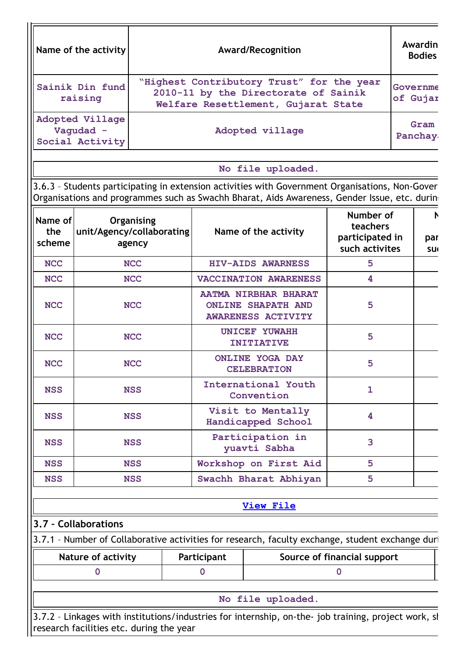| "Highest Contributory Trust" for the year<br>Sainik Din fund<br>2010-11 by the Directorate of Sainik<br>raising<br>Welfare Resettlement, Gujarat State<br><b>Adopted Village</b><br>Vaqudad -<br>Adopted village<br>Social Activity<br>No file uploaded.<br>3.6.3 - Students participating in extension activities with Government Organisations, Non-Gover<br>Organisations and programmes such as Swachh Bharat, Aids Awareness, Gender Issue, etc. during<br>Number of<br>Name of<br>Organising<br>teachers<br>unit/Agency/collaborating<br>the<br>Name of the activity<br>participated in<br>scheme<br>agency<br>such activites | Governme<br>of Gujar<br>Gram<br>Panchay |
|-------------------------------------------------------------------------------------------------------------------------------------------------------------------------------------------------------------------------------------------------------------------------------------------------------------------------------------------------------------------------------------------------------------------------------------------------------------------------------------------------------------------------------------------------------------------------------------------------------------------------------------|-----------------------------------------|
|                                                                                                                                                                                                                                                                                                                                                                                                                                                                                                                                                                                                                                     |                                         |
|                                                                                                                                                                                                                                                                                                                                                                                                                                                                                                                                                                                                                                     |                                         |
|                                                                                                                                                                                                                                                                                                                                                                                                                                                                                                                                                                                                                                     |                                         |
|                                                                                                                                                                                                                                                                                                                                                                                                                                                                                                                                                                                                                                     |                                         |
|                                                                                                                                                                                                                                                                                                                                                                                                                                                                                                                                                                                                                                     | par<br><b>SU</b>                        |
| <b>NCC</b><br><b>NCC</b><br>HIV-AIDS AWARNESS<br>5                                                                                                                                                                                                                                                                                                                                                                                                                                                                                                                                                                                  |                                         |
| <b>NCC</b><br><b>NCC</b><br>VACCINATION AWARENESS<br>4                                                                                                                                                                                                                                                                                                                                                                                                                                                                                                                                                                              |                                         |
| <b>AATMA NIRBHAR BHARAT</b><br><b>NCC</b><br>5<br><b>NCC</b><br><b>ONLINE SHAPATH AND</b><br><b>AWARENESS ACTIVITY</b>                                                                                                                                                                                                                                                                                                                                                                                                                                                                                                              |                                         |
| <b>UNICEF YUWAHH</b><br>5<br><b>NCC</b><br><b>NCC</b><br><b>INITIATIVE</b>                                                                                                                                                                                                                                                                                                                                                                                                                                                                                                                                                          |                                         |
| <b>ONLINE YOGA DAY</b><br>5<br><b>NCC</b><br><b>NCC</b><br><b>CELEBRATION</b>                                                                                                                                                                                                                                                                                                                                                                                                                                                                                                                                                       |                                         |
| International Youth<br>$\mathbf{1}$<br><b>NSS</b><br><b>NSS</b><br>Convention                                                                                                                                                                                                                                                                                                                                                                                                                                                                                                                                                       |                                         |
| Visit to Mentally<br>4<br><b>NSS</b><br><b>NSS</b><br>Handicapped School                                                                                                                                                                                                                                                                                                                                                                                                                                                                                                                                                            |                                         |
| Participation in<br>3<br><b>NSS</b><br><b>NSS</b><br>yuavti Sabha                                                                                                                                                                                                                                                                                                                                                                                                                                                                                                                                                                   |                                         |
| Workshop on First Aid<br>5<br><b>NSS</b><br><b>NSS</b>                                                                                                                                                                                                                                                                                                                                                                                                                                                                                                                                                                              |                                         |
| Swachh Bharat Abhiyan<br>5<br><b>NSS</b><br><b>NSS</b>                                                                                                                                                                                                                                                                                                                                                                                                                                                                                                                                                                              |                                         |
| <b>View File</b>                                                                                                                                                                                                                                                                                                                                                                                                                                                                                                                                                                                                                    |                                         |
| 3.7 - Collaborations                                                                                                                                                                                                                                                                                                                                                                                                                                                                                                                                                                                                                |                                         |
| 3.7.1 - Number of Collaborative activities for research, faculty exchange, student exchange duri                                                                                                                                                                                                                                                                                                                                                                                                                                                                                                                                    |                                         |
| Source of financial support<br><b>Nature of activity</b><br>Participant                                                                                                                                                                                                                                                                                                                                                                                                                                                                                                                                                             |                                         |
| $\mathbf 0$<br>$\bf{0}$<br>$\mathbf 0$                                                                                                                                                                                                                                                                                                                                                                                                                                                                                                                                                                                              |                                         |
| No file uploaded.                                                                                                                                                                                                                                                                                                                                                                                                                                                                                                                                                                                                                   |                                         |
| 3.7.2 - Linkages with institutions/industries for internship, on-the- job training, project work, sl<br>research facilities etc. during the year                                                                                                                                                                                                                                                                                                                                                                                                                                                                                    |                                         |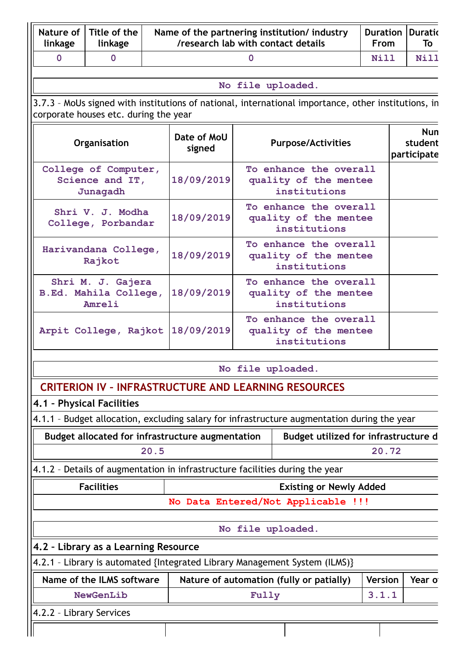| Nature of<br>linkage     | Title of the<br>linkage                              |      | /research lab with contact details                      |       | Name of the partnering institution/industry                                                         | <b>Duration</b><br><b>From</b> | <b>Duratio</b><br>To                 |
|--------------------------|------------------------------------------------------|------|---------------------------------------------------------|-------|-----------------------------------------------------------------------------------------------------|--------------------------------|--------------------------------------|
| $\mathbf 0$              | $\mathbf 0$                                          |      |                                                         | 0     |                                                                                                     | <b>Nill</b>                    | Nill                                 |
|                          |                                                      |      |                                                         |       | No file uploaded.                                                                                   |                                |                                      |
|                          | corporate houses etc. during the year                |      |                                                         |       | 3.7.3 - MoUs signed with institutions of national, international importance, other institutions, in |                                |                                      |
|                          | Organisation                                         |      | Date of MoU<br>signed                                   |       | <b>Purpose/Activities</b>                                                                           |                                | <b>Nun</b><br>student<br>participate |
|                          | College of Computer,<br>Science and IT,<br>Junagadh  |      | 18/09/2019                                              |       | To enhance the overall<br>quality of the mentee<br>institutions                                     |                                |                                      |
|                          | Shri V. J. Modha<br>College, Porbandar               |      | 18/09/2019                                              |       | To enhance the overall<br>quality of the mentee<br>institutions                                     |                                |                                      |
|                          | Harivandana College,<br>Rajkot                       |      | 18/09/2019                                              |       | To enhance the overall<br>quality of the mentee<br>institutions                                     |                                |                                      |
|                          | Shri M. J. Gajera<br>B.Ed. Mahila College,<br>Amreli |      | 18/09/2019                                              |       | To enhance the overall<br>quality of the mentee<br>institutions                                     |                                |                                      |
|                          |                                                      |      | Arpit College, Rajkot 18/09/2019                        |       | To enhance the overall<br>quality of the mentee<br>institutions                                     |                                |                                      |
|                          |                                                      |      |                                                         |       | No file uploaded.                                                                                   |                                |                                      |
|                          |                                                      |      |                                                         |       | <b>CRITERION IV - INFRASTRUCTURE AND LEARNING RESOURCES</b>                                         |                                |                                      |
|                          | 4.1 - Physical Facilities                            |      |                                                         |       |                                                                                                     |                                |                                      |
|                          |                                                      |      |                                                         |       | 4.1.1 - Budget allocation, excluding salary for infrastructure augmentation during the year         |                                |                                      |
|                          |                                                      |      | <b>Budget allocated for infrastructure augmentation</b> |       | Budget utilized for infrastructure d                                                                |                                |                                      |
|                          |                                                      | 20.5 |                                                         |       |                                                                                                     | 20.72                          |                                      |
|                          |                                                      |      |                                                         |       | 4.1.2 - Details of augmentation in infrastructure facilities during the year                        |                                |                                      |
|                          | <b>Facilities</b>                                    |      |                                                         |       | <b>Existing or Newly Added</b>                                                                      |                                |                                      |
|                          |                                                      |      |                                                         |       | No Data Entered/Not Applicable !!!                                                                  |                                |                                      |
|                          |                                                      |      |                                                         |       | No file uploaded.                                                                                   |                                |                                      |
|                          | 4.2 - Library as a Learning Resource                 |      |                                                         |       |                                                                                                     |                                |                                      |
|                          |                                                      |      |                                                         |       | 4.2.1 - Library is automated {Integrated Library Management System (ILMS)}                          |                                |                                      |
|                          | Name of the ILMS software                            |      |                                                         |       | Nature of automation (fully or patially)                                                            | <b>Version</b>                 | Year of                              |
|                          | NewGenLib                                            |      |                                                         | Fully |                                                                                                     | 3.1.1                          |                                      |
| 4.2.2 - Library Services |                                                      |      |                                                         |       |                                                                                                     |                                |                                      |
|                          |                                                      |      |                                                         |       |                                                                                                     |                                |                                      |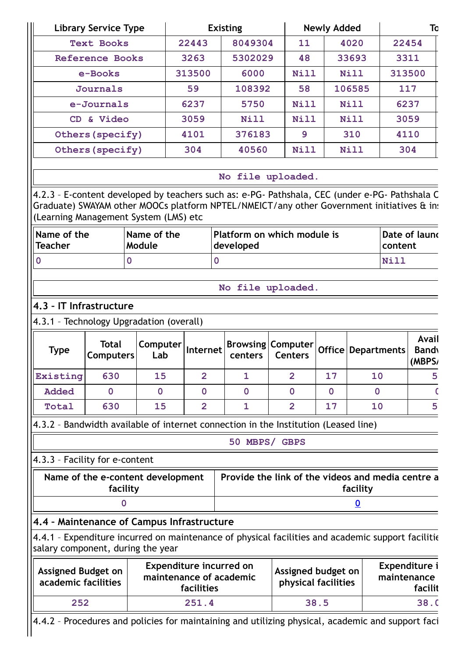|                                                  | <b>Library Service Type</b>                                                                                                                                                                 |                                                           |                | <b>Existing</b>                                   |                                            | <b>Newly Added</b> |                         | To                                      |
|--------------------------------------------------|---------------------------------------------------------------------------------------------------------------------------------------------------------------------------------------------|-----------------------------------------------------------|----------------|---------------------------------------------------|--------------------------------------------|--------------------|-------------------------|-----------------------------------------|
|                                                  | <b>Text Books</b>                                                                                                                                                                           |                                                           | 22443          | 8049304                                           | 11                                         |                    | 4020                    | 22454                                   |
|                                                  | <b>Reference Books</b>                                                                                                                                                                      |                                                           | 3263           | 5302029                                           | 48                                         |                    | 33693                   | 3311                                    |
|                                                  | e-Books                                                                                                                                                                                     |                                                           | 313500         | 6000                                              | Nill                                       |                    | Nill                    | 313500                                  |
|                                                  | <b>Journals</b>                                                                                                                                                                             |                                                           | 59             | 108392                                            | 58                                         |                    | 106585                  | 117                                     |
|                                                  | e-Journals                                                                                                                                                                                  |                                                           | 6237           | 5750                                              | Nill                                       |                    | Nill                    | 6237                                    |
|                                                  | CD & Video                                                                                                                                                                                  |                                                           | 3059           | Nill                                              | Nill                                       |                    | Nill                    | 3059                                    |
|                                                  | Others (specify)                                                                                                                                                                            |                                                           | 4101           | 376183                                            | 9                                          |                    | 310                     | 4110                                    |
|                                                  | Others (specify)                                                                                                                                                                            |                                                           | 304            | 40560                                             | <b>Nill</b>                                |                    | Nill                    | 304                                     |
|                                                  | 4.2.3 - E-content developed by teachers such as: e-PG- Pathshala, CEC (under e-PG- Pathshala C<br>Graduate) SWAYAM other MOOCs platform NPTEL/NMEICT/any other Government initiatives & in: |                                                           |                | No file uploaded.                                 |                                            |                    |                         |                                         |
| Name of the<br><b>Teacher</b>                    | (Learning Management System (LMS) etc                                                                                                                                                       | Name of the<br>Module                                     |                | Platform on which module is<br>developed          |                                            |                    |                         | Date of launo<br>content                |
| $\mathbf 0$                                      | $\mathbf 0$                                                                                                                                                                                 |                                                           | $\mathbf 0$    |                                                   |                                            |                    |                         | Nill                                    |
|                                                  |                                                                                                                                                                                             |                                                           |                |                                                   |                                            |                    |                         |                                         |
|                                                  |                                                                                                                                                                                             |                                                           |                | No file uploaded.                                 |                                            |                    |                         |                                         |
|                                                  | 4.3 - IT Infrastructure                                                                                                                                                                     |                                                           |                |                                                   |                                            |                    |                         |                                         |
| <b>Type</b>                                      | 4.3.1 - Technology Upgradation (overall)<br><b>Total</b><br><b>Computers</b>                                                                                                                | Computer<br>Lab                                           | Internet       | centers                                           | <b>Browsing Computer</b><br><b>Centers</b> |                    | Office   Departments    | Avail<br><b>Bandy</b><br>(MBPS/         |
| Existing                                         | 630                                                                                                                                                                                         | 15                                                        | $\overline{2}$ | $\mathbf{1}$                                      | $\overline{2}$                             | 17                 | 10                      | 5                                       |
| <b>Added</b>                                     | $\overline{0}$                                                                                                                                                                              | $\mathbf 0$                                               | $\mathbf 0$    | $\mathbf 0$                                       | $\mathbf 0$                                | $\mathbf 0$        | $\mathbf 0$             |                                         |
|                                                  |                                                                                                                                                                                             |                                                           |                |                                                   |                                            |                    |                         |                                         |
| Total                                            | 630                                                                                                                                                                                         | 15                                                        | $\overline{2}$ | $\mathbf{1}$                                      | $\overline{2}$                             | 17                 | 10                      | 5                                       |
|                                                  | 4.3.2 - Bandwidth available of internet connection in the Institution (Leased line)                                                                                                         |                                                           |                |                                                   |                                            |                    |                         |                                         |
|                                                  |                                                                                                                                                                                             |                                                           |                | 50 MBPS/ GBPS                                     |                                            |                    |                         |                                         |
|                                                  | 4.3.3 - Facility for e-content                                                                                                                                                              |                                                           |                |                                                   |                                            |                    |                         |                                         |
|                                                  | Name of the e-content development<br>facility                                                                                                                                               |                                                           |                | Provide the link of the videos and media centre a |                                            |                    | facility                |                                         |
|                                                  | $\overline{0}$                                                                                                                                                                              |                                                           |                |                                                   |                                            |                    | $\overline{\mathbf{0}}$ |                                         |
|                                                  | 4.4 - Maintenance of Campus Infrastructure                                                                                                                                                  |                                                           |                |                                                   |                                            |                    |                         |                                         |
|                                                  | 4.4.1 - Expenditure incurred on maintenance of physical facilities and academic support facilitie<br>salary component, during the year                                                      |                                                           |                |                                                   |                                            |                    |                         |                                         |
| <b>Assigned Budget on</b><br>academic facilities |                                                                                                                                                                                             | <b>Expenditure incurred on</b><br>maintenance of academic | facilities     |                                                   | Assigned budget on<br>physical facilities  |                    |                         | Expenditure i<br>maintenance<br>facilit |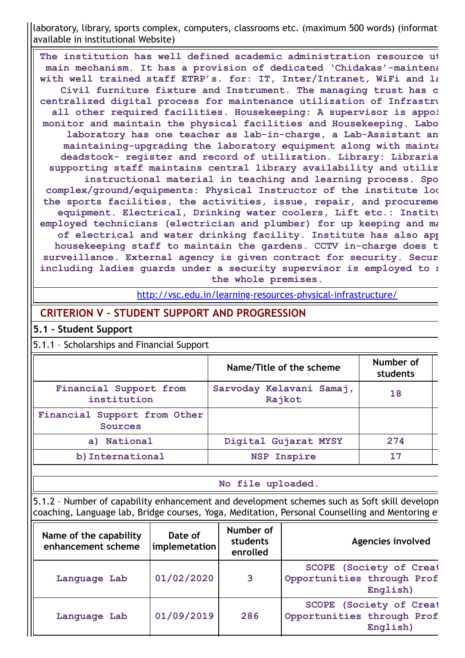laboratory, library, sports complex, computers, classrooms etc. (maximum 500 words) (informati available in institutional Website)

**The institution has well defined academic administration resource ut main mechanism. It has a provision of dedicated 'Chidakas'-maintena with well trained staff ETRP's. for: IT, Inter/Intranet, WiFi and la Civil furniture fixture and Instrument. The managing trust has c centralized digital process for maintenance utilization of Infrastru all other required facilities. Housekeeping: A supervisor is appoi monitor and maintain the physical facilities and Housekeeping. Labo laboratory has one teacher as lab-in-charge, a Lab-Assistant an maintaining-upgrading the laboratory equipment along with mainta deadstock- register and record of utilization. Library: Libraria supporting staff maintains central library availability and utiliz instructional material in teaching and learning process. Spo complex/ground/equipments: Physical Instructor of the institute loo the sports facilities, the activities, issue, repair, and procureme equipment. Electrical, Drinking water coolers, Lift etc.: Institu employed technicians (electrician and plumber) for up keeping and ma of electrical and water drinking facility. Institute has also app housekeeping staff to maintain the gardens. CCTV in-charge does t surveillance. External agency is given contract for security. Secur including ladies guards under a security supervisor is employed to s the whole premises.**

<http://vsc.edu.in/learning-resources-physical-infrastructure/>

## **CRITERION V – STUDENT SUPPORT AND PROGRESSION**

#### **5.1 – Student Support**

5.1.1 – Scholarships and Financial Support

|                                                | Name/Title of the scheme           | Number of<br>students |
|------------------------------------------------|------------------------------------|-----------------------|
| Financial Support from<br>institution          | Sarvoday Kelavani Samaj,<br>Rajkot | 18                    |
| Financial Support from Other<br><b>Sources</b> |                                    |                       |
| a) National                                    | Digital Gujarat MYSY               | 274                   |
| b) International                               | <b>NSP Inspire</b>                 | 17                    |

#### **No file uploaded.**

5.1.2 – Number of capability enhancement and development schemes such as Soft skill developm coaching, Language lab, Bridge courses, Yoga, Meditation, Personal Counselling and Mentoring et

| Name of the capability<br>enhancement scheme | Date of<br>implemetation | Number of<br>students<br>enrolled | <b>Agencies involved</b>                                                 |
|----------------------------------------------|--------------------------|-----------------------------------|--------------------------------------------------------------------------|
| Language Lab                                 | 01/02/2020               | 3                                 | <b>SCOPE</b> (Society of Creat<br>Opportunities through Prof<br>English) |
| Language Lab                                 | 01/09/2019               | 286                               | <b>SCOPE</b> (Society of Creat<br>Opportunities through Prof<br>English) |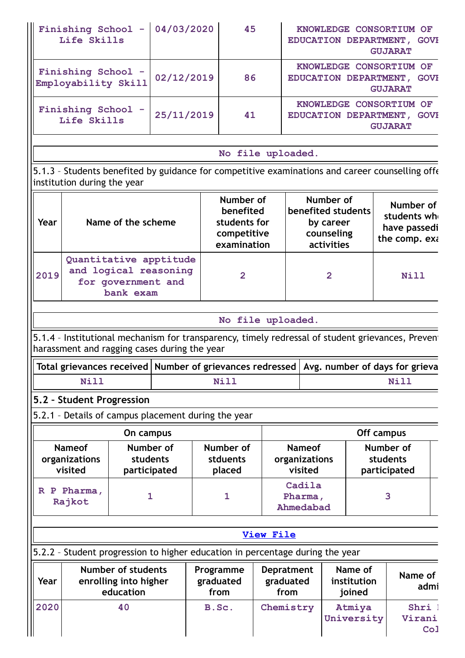| <b>Finishing School</b><br>Life Skills    | 04/03/2020 | 45 | KNOWLEDGE CONSORTIUM OF<br>EDUCATION DEPARTMENT,<br><b>GOVE</b><br><b>GUJARAT</b> |
|-------------------------------------------|------------|----|-----------------------------------------------------------------------------------|
| Finishing School -<br>Employability Skill | 02/12/2019 | 86 | KNOWLEDGE CONSORTIUM OF<br>EDUCATION DEPARTMENT,<br><b>GOVE</b><br><b>GUJARAT</b> |
| <b>Finishing School</b><br>Life Skills    | 25/11/2019 | 41 | KNOWLEDGE CONSORTIUM OF<br>EDUCATION DEPARTMENT,<br><b>GOVE</b><br><b>GUJARAT</b> |
|                                           |            |    |                                                                                   |

#### **No file uploaded.**

5.1.3 – Students benefited by guidance for competitive examinations and career counselling offe institution during the year

| Year | Name of the scheme                                                                 | Number of<br>benefited<br>students for<br>competitive<br>examination | Number of<br>benefited students<br>by career<br>counseling<br>activities | Number of<br>students wh<br>have passedi<br>the comp. exa |
|------|------------------------------------------------------------------------------------|----------------------------------------------------------------------|--------------------------------------------------------------------------|-----------------------------------------------------------|
| 2019 | Quantitative apptitude<br>and logical reasoning<br>for government and<br>bank exam | 2                                                                    | $\mathbf{2}$                                                             | Nill                                                      |

#### **No file uploaded.**

5.1.4 - Institutional mechanism for transparency, timely redressal of student grievances, Prevent harassment and ragging cases during the year

|      | Total grievances received   Number of grievances redressed   Avg. number of days for grieva |      |
|------|---------------------------------------------------------------------------------------------|------|
| Nill | Nill                                                                                        | Nill |

# **5.2 – Student Progression**

<u>Ir</u>

5.2.1 – Details of campus placement during the year

|                                           | On campus                             |                                 |                                           | Off campus                            |  |
|-------------------------------------------|---------------------------------------|---------------------------------|-------------------------------------------|---------------------------------------|--|
| <b>Nameof</b><br>organizations<br>visited | Number of<br>students<br>participated | Number of<br>stduents<br>placed | <b>Nameof</b><br>organizations<br>visited | Number of<br>students<br>participated |  |
| R P Pharma,<br>Rajkot                     |                                       |                                 | Cadila<br>Pharma,<br>Ahmedabad            | 3                                     |  |

| View File                                                                      |
|--------------------------------------------------------------------------------|
| [5.2.2 - Student progression to higher education in percentage during the year |

| $\parallel$ Year | <b>Number of students</b><br>enrolling into higher<br>education | Programme<br>graduated<br>from | <b>Depratment</b><br>graduated<br>from | Name of<br>institution<br>joined | Name of<br>admi                   |
|------------------|-----------------------------------------------------------------|--------------------------------|----------------------------------------|----------------------------------|-----------------------------------|
| 2020<br>40       |                                                                 | B.Sc.                          | Chemistry                              | Atmiya<br>University             | Shri<br>Virani<br>Co <sub>1</sub> |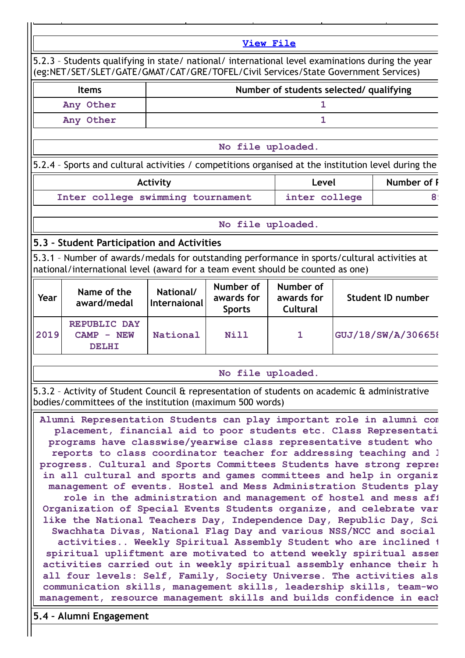**View [File](https://assessmentonline.naac.gov.in/public/Postacc/Progression/18162_Progression_1642084883.xlsx)** 5.2.3 – Students qualifying in state/ national/ international level examinations during the year (eg:NET/SET/SLET/GATE/GMAT/CAT/GRE/TOFEL/Civil Services/State Government Services) **Items Number of students selected/ qualifying Any Other 1 Any Other 1 No file uploaded.** 5.2.4 – Sports and cultural activities / competitions organised at the institution level during the Activity **Activity Level Revelled Number of P Inter college swimming tournament inter college 89 No file uploaded. 5.3 – Student Participation and Activities** 5.3.1 – Number of awards/medals for outstanding performance in sports/cultural activities at national/international level (award for a team event should be counted as one) **Year Name of the award/medal National/ Internaional Number of awards for Sports Number of awards for Cultural Student ID number 2019 REPUBLIC DAY CAMP - NEW DELHI National Nill 1 GUJ/18/SW/A/306658 No file uploaded.** 5.3.2 – Activity of Student Council & representation of students on academic & administrative bodies/committees of the institution (maximum 500 words) **Alumni Representation Students can play important role in alumni com placement, financial aid to poor students etc. Class Representati programs have classwise/yearwise class representative student who reports to class coordinator teacher for addressing teaching and l progress. Cultural and Sports Committees Students have strong repres in all cultural and sports and games committees and help in organiz management of events. Hostel and Mess Administration Students play role in the administration and management of hostel and mess aff Organization of Special Events Students organize, and celebrate var like the National Teachers Day, Independence Day, Republic Day, Sci Swachhata Divas, National Flag Day and various NSS/NCC and social activities.. Weekly Spiritual Assembly Student who are inclined t spiritual upliftment are motivated to attend weekly spiritual assem activities carried out in weekly spiritual assembly enhance their h all four levels: Self, Family, Society Universe. The activities als communication skills, management skills, leadership skills, team-wo management, resource management skills and builds confidence in each**

**5.4 – Alumni Engagement**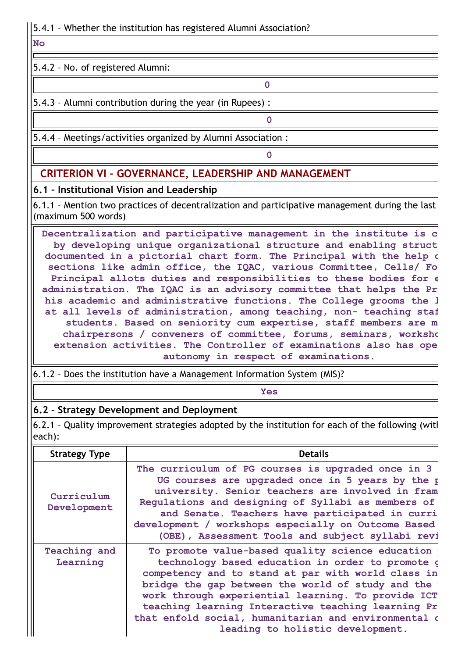**No**

5.4.2 – No. of registered Alumni:

5.4.3 – Alumni contribution during the year (in Rupees) :

5.4.4 – Meetings/activities organized by Alumni Association :

# **CRITERION VI – GOVERNANCE, LEADERSHIP AND MANAGEMENT**

# **6.1 – Institutional Vision and Leadership**

6.1.1 – Mention two practices of decentralization and participative management during the last (maximum 500 words)

**0**

**0**

**0**

**Decentralization and participative management in the institute is ca by developing unique organizational structure and enabling structu documented in a pictorial chart form. The Principal with the help o sections like admin office, the IQAC, various Committee, Cells/ Fo Principal allots duties and responsibilities to these bodies for e administration. The IQAC is an advisory committee that helps the Pr his academic and administrative functions. The College grooms the l at all levels of administration, among teaching, non- teaching staf students. Based on seniority cum expertise, staff members are ma chairpersons / conveners of committee, forums, seminars, worksho extension activities. The Controller of examinations also has ope autonomy in respect of examinations.**

6.1.2 – Does the institution have a Management Information System (MIS)?

**Yes**

# **6.2 – Strategy Development and Deployment**

6.2.1 – Quality improvement strategies adopted by the institution for each of the following (with each):

| <b>Strategy Type</b>      | <b>Details</b>                                                                                                                                                                                                                                                                                                                                                                                                          |
|---------------------------|-------------------------------------------------------------------------------------------------------------------------------------------------------------------------------------------------------------------------------------------------------------------------------------------------------------------------------------------------------------------------------------------------------------------------|
| Curriculum<br>Development | The curriculum of PG courses is upgraded once in 3<br>UG courses are upgraded once in 5 years by the p<br>university. Senior teachers are involved in fram<br>Regulations and designing of Syllabi as members of<br>and Senate. Teachers have participated in curri<br>development / workshops especially on Outcome Based<br>(OBE), Assessment Tools and subject syllabi revi                                          |
| Teaching and<br>Learning  | To promote value-based quality science education<br>technology based education in order to promote o<br>competency and to stand at par with world class in<br>bridge the gap between the world of study and the<br>work through experiential learning. To provide ICT<br>teaching learning Interactive teaching learning Pr<br>that enfold social, humanitarian and environmental o<br>leading to holistic development. |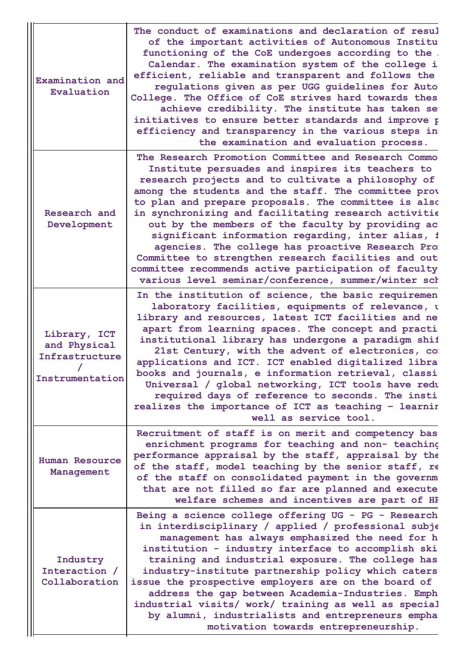| Examination and<br>Evaluation                                     | The conduct of examinations and declaration of resul<br>of the important activities of Autonomous Institu<br>functioning of the CoE undergoes according to the.<br>Calendar. The examination system of the college i<br>efficient, reliable and transparent and follows the<br>regulations given as per UGG guidelines for Auto<br>College. The Office of CoE strives hard towards thes<br>achieve credibility. The institute has taken se<br>initiatives to ensure better standards and improve p<br>efficiency and transparency in the various steps in<br>the examination and evaluation process.                                                                      |
|-------------------------------------------------------------------|---------------------------------------------------------------------------------------------------------------------------------------------------------------------------------------------------------------------------------------------------------------------------------------------------------------------------------------------------------------------------------------------------------------------------------------------------------------------------------------------------------------------------------------------------------------------------------------------------------------------------------------------------------------------------|
| Research and<br>Development                                       | The Research Promotion Committee and Research Commo<br>Institute persuades and inspires its teachers to<br>research projects and to cultivate a philosophy of<br>among the students and the staff. The committee prov<br>to plan and prepare proposals. The committee is also<br>in synchronizing and facilitating research activitie<br>out by the members of the faculty by providing ac<br>significant information regarding, inter alias, f<br>agencies. The college has proactive Research Pro<br>Committee to strengthen research facilities and out<br>committee recommends active participation of faculty<br>various level seminar/conference, summer/winter sch |
| Library, ICT<br>and Physical<br>Infrastructure<br>Instrumentation | In the institution of science, the basic requiremen<br>laboratory facilities, equipments of relevance, t<br>library and resources, latest ICT facilities and ne<br>apart from learning spaces. The concept and practi<br>institutional library has undergone a paradigm shif<br>21st Century, with the advent of electronics, com<br>applications and ICT. ICT enabled digitalized libra<br>books and journals, e information retrieval, classi<br>Universal / global networking, ICT tools have redu<br>required days of reference to seconds. The insti<br>realizes the importance of ICT as teaching - learnir<br>well as service tool.                                |
| <b>Human Resource</b><br>Management                               | Recruitment of staff is on merit and competency bas<br>enrichment programs for teaching and non- teaching<br>performance appraisal by the staff, appraisal by the<br>of the staff, model teaching by the senior staff, re<br>of the staff on consolidated payment in the governm<br>that are not filled so far are planned and execute<br>welfare schemes and incentives are part of HF                                                                                                                                                                                                                                                                                   |
| Industry<br>Interaction /<br>Collaboration                        | Being a science college offering UG - PG - Research<br>in interdisciplinary / applied / professional subje<br>management has always emphasized the need for h<br>institution - industry interface to accomplish ski<br>training and industrial exposure. The college has<br>industry-institute partnership policy which caters<br>issue the prospective employers are on the board of<br>address the gap between Academia-Industries. Emph<br>industrial visits/ work/ training as well as special<br>by alumni, industrialists and entrepreneurs empha<br>motivation towards entrepreneurship.                                                                           |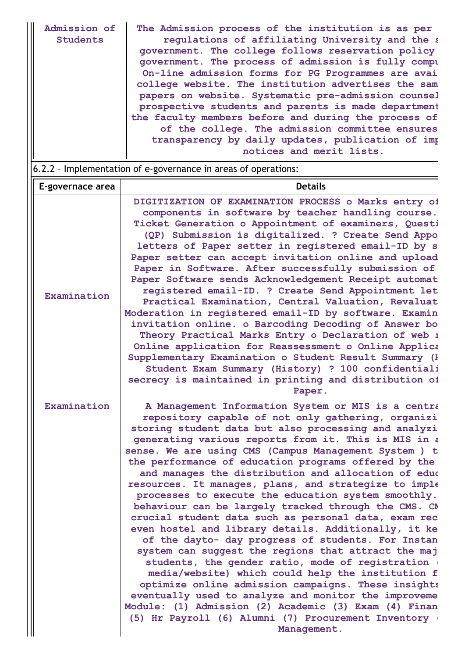| Admission of<br><b>Students</b> | The Admission process of the institution is as per<br>regulations of affiliating University and the s<br>government. The college follows reservation policy<br>government. The process of admission is fully compu<br>On-line admission forms for PG Programmes are avai<br>college website. The institution advertises the sam<br>papers on website. Systematic pre-admission counsel<br>prospective students and parents is made department<br>the faculty members before and during the process of<br>of the college. The admission committee ensures<br>transparency by daily updates, publication of imp<br>notices and merit lists.                                                                                                                                                                                                                                                                                                                                                                                                                                                                  |
|---------------------------------|------------------------------------------------------------------------------------------------------------------------------------------------------------------------------------------------------------------------------------------------------------------------------------------------------------------------------------------------------------------------------------------------------------------------------------------------------------------------------------------------------------------------------------------------------------------------------------------------------------------------------------------------------------------------------------------------------------------------------------------------------------------------------------------------------------------------------------------------------------------------------------------------------------------------------------------------------------------------------------------------------------------------------------------------------------------------------------------------------------|
|                                 | 6.2.2 - Implementation of e-governance in areas of operations:                                                                                                                                                                                                                                                                                                                                                                                                                                                                                                                                                                                                                                                                                                                                                                                                                                                                                                                                                                                                                                             |
| E-governace area                | <b>Details</b>                                                                                                                                                                                                                                                                                                                                                                                                                                                                                                                                                                                                                                                                                                                                                                                                                                                                                                                                                                                                                                                                                             |
| Examination                     | DIGITIZATION OF EXAMINATION PROCESS o Marks entry of<br>components in software by teacher handling course.<br>Ticket Generation o Appointment of examiners, Questi<br>(QP) Submission is digitalized. ? Create Send Appo<br>letters of Paper setter in registered email-ID by s<br>Paper setter can accept invitation online and upload<br>Paper in Software. After successfully submission of<br>Paper Software sends Acknowledgement Receipt automat<br>registered email-ID. ? Create Send Appointment let<br>Practical Examination, Central Valuation, Revaluat<br>Moderation in registered email-ID by software. Examin<br>invitation online. o Barcoding Decoding of Answer bo<br>Theory Practical Marks Entry o Declaration of web 1<br>Online application for Reassessment o Online Applica<br>Supplementary Examination o Student Result Summary (F<br>Student Exam Summary (History) ? 100 confidentiali<br>secrecy is maintained in printing and distribution of<br>Paper.                                                                                                                       |
| Examination                     | A Management Information System or MIS is a centra                                                                                                                                                                                                                                                                                                                                                                                                                                                                                                                                                                                                                                                                                                                                                                                                                                                                                                                                                                                                                                                         |
|                                 | repository capable of not only gathering, organizi<br>storing student data but also processing and analyzi<br>generating various reports from it. This is MIS in a<br>sense. We are using CMS (Campus Management System ) t<br>the performance of education programs offered by the<br>and manages the distribution and allocation of educ<br>resources. It manages, plans, and strategize to imple<br>processes to execute the education system smoothly.<br>behaviour can be largely tracked through the CMS. CM<br>crucial student data such as personal data, exam rec<br>even hostel and library details. Additionally, it ke<br>of the dayto- day progress of students. For Instan<br>system can suggest the regions that attract the maj<br>students, the gender ratio, mode of registration (<br>media/website) which could help the institution f<br>optimize online admission campaigns. These insights<br>eventually used to analyze and monitor the improveme<br>Module: (1) Admission (2) Academic (3) Exam (4) Finan<br>(5) Hr Payroll (6) Alumni (7) Procurement Inventory (<br>Management. |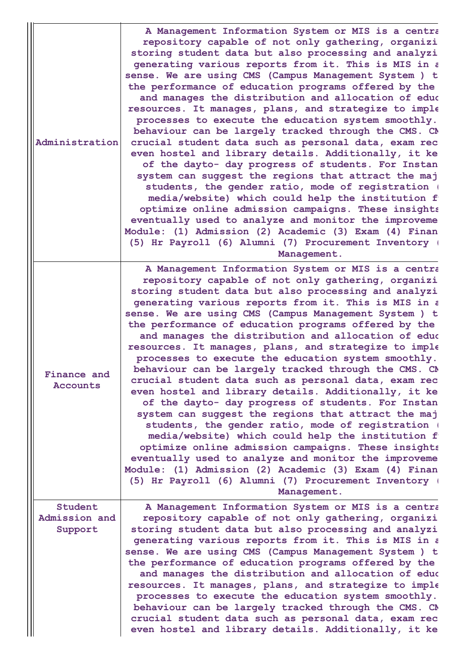|                                | Administration                      | A Management Information System or MIS is a centra<br>repository capable of not only gathering, organizi<br>storing student data but also processing and analyzi<br>generating various reports from it. This is MIS in a<br>sense. We are using CMS (Campus Management System ) t<br>the performance of education programs offered by the<br>and manages the distribution and allocation of educ<br>resources. It manages, plans, and strategize to imple<br>processes to execute the education system smoothly.<br>behaviour can be largely tracked through the CMS. CM<br>crucial student data such as personal data, exam rec<br>even hostel and library details. Additionally, it ke<br>of the dayto- day progress of students. For Instan<br>system can suggest the regions that attract the maj<br>students, the gender ratio, mode of registration (<br>media/website) which could help the institution f<br>optimize online admission campaigns. These insights<br>eventually used to analyze and monitor the improveme<br>Module: (1) Admission (2) Academic (3) Exam (4) Finan<br>(5) Hr Payroll (6) Alumni (7) Procurement Inventory (<br>Management. |  |  |
|--------------------------------|-------------------------------------|------------------------------------------------------------------------------------------------------------------------------------------------------------------------------------------------------------------------------------------------------------------------------------------------------------------------------------------------------------------------------------------------------------------------------------------------------------------------------------------------------------------------------------------------------------------------------------------------------------------------------------------------------------------------------------------------------------------------------------------------------------------------------------------------------------------------------------------------------------------------------------------------------------------------------------------------------------------------------------------------------------------------------------------------------------------------------------------------------------------------------------------------------------------|--|--|
| <b>Finance and</b><br>Accounts |                                     | A Management Information System or MIS is a centra<br>repository capable of not only gathering, organizi<br>storing student data but also processing and analyzi<br>generating various reports from it. This is MIS in a<br>sense. We are using CMS (Campus Management System ) t<br>the performance of education programs offered by the<br>and manages the distribution and allocation of educ<br>resources. It manages, plans, and strategize to imple<br>processes to execute the education system smoothly.<br>behaviour can be largely tracked through the CMS. CM<br>crucial student data such as personal data, exam rec<br>even hostel and library details. Additionally, it ke<br>of the dayto- day progress of students. For Instan<br>system can suggest the regions that attract the maj<br>students, the gender ratio, mode of registration (<br>media/website) which could help the institution f<br>optimize online admission campaigns. These insights<br>eventually used to analyze and monitor the improveme<br>Module: (1) Admission (2) Academic (3) Exam (4) Finan<br>(5) Hr Payroll (6) Alumni (7) Procurement Inventory (<br>Management. |  |  |
|                                | Student<br>Admission and<br>Support | A Management Information System or MIS is a centra<br>repository capable of not only gathering, organizi<br>storing student data but also processing and analyzi<br>generating various reports from it. This is MIS in a<br>sense. We are using CMS (Campus Management System ) t<br>the performance of education programs offered by the<br>and manages the distribution and allocation of educ<br>resources. It manages, plans, and strategize to imple<br>processes to execute the education system smoothly.<br>behaviour can be largely tracked through the CMS. CM<br>crucial student data such as personal data, exam rec<br>even hostel and library details. Additionally, it ke                                                                                                                                                                                                                                                                                                                                                                                                                                                                         |  |  |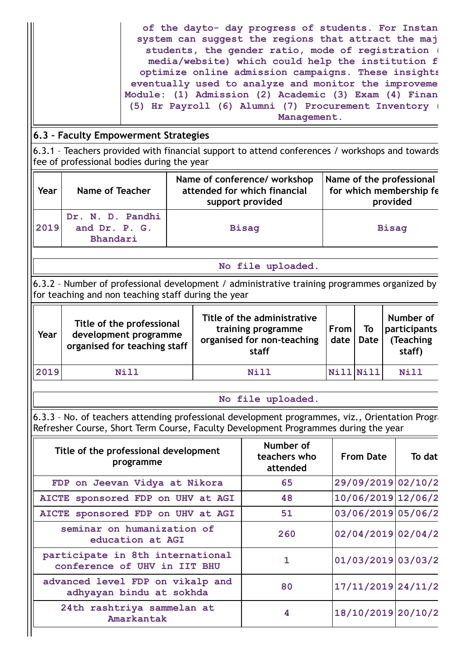|                                                                                            |                                                                                                                                                     |                                                                                  |                                                                    | of the dayto- day progress of students. For Instan<br>system can suggest the regions that attract the maj<br>students, the gender ratio, mode of registration (<br>media/website) which could help the institution f<br>optimize online admission campaigns. These insights<br>eventually used to analyze and monitor the improveme<br>Module: (1) Admission (2) Academic (3) Exam (4) Finan<br>(5) Hr Payroll (6) Alumni (7) Procurement Inventory (<br>Management. |           |                                                                 |  |                                     |
|--------------------------------------------------------------------------------------------|-----------------------------------------------------------------------------------------------------------------------------------------------------|----------------------------------------------------------------------------------|--------------------------------------------------------------------|----------------------------------------------------------------------------------------------------------------------------------------------------------------------------------------------------------------------------------------------------------------------------------------------------------------------------------------------------------------------------------------------------------------------------------------------------------------------|-----------|-----------------------------------------------------------------|--|-------------------------------------|
|                                                                                            | 6.3 - Faculty Empowerment Strategies                                                                                                                |                                                                                  |                                                                    |                                                                                                                                                                                                                                                                                                                                                                                                                                                                      |           |                                                                 |  |                                     |
|                                                                                            | 6.3.1 - Teachers provided with financial support to attend conferences / workshops and towards<br>fee of professional bodies during the year        |                                                                                  |                                                                    |                                                                                                                                                                                                                                                                                                                                                                                                                                                                      |           |                                                                 |  |                                     |
| Year                                                                                       | <b>Name of Teacher</b>                                                                                                                              | Name of conference/ workshop<br>attended for which financial<br>support provided |                                                                    |                                                                                                                                                                                                                                                                                                                                                                                                                                                                      |           | Name of the professional<br>for which membership fe<br>provided |  |                                     |
| 2019                                                                                       | Dr. N. D. Pandhi<br>and Dr. P. G.<br>Bhandari                                                                                                       |                                                                                  |                                                                    | <b>Bisaq</b>                                                                                                                                                                                                                                                                                                                                                                                                                                                         |           | <b>Bisaq</b>                                                    |  |                                     |
|                                                                                            |                                                                                                                                                     |                                                                                  |                                                                    | No file uploaded.                                                                                                                                                                                                                                                                                                                                                                                                                                                    |           |                                                                 |  |                                     |
|                                                                                            | 6.3.2 - Number of professional development / administrative training programmes organized by<br>for teaching and non teaching staff during the year |                                                                                  |                                                                    |                                                                                                                                                                                                                                                                                                                                                                                                                                                                      |           |                                                                 |  |                                     |
| Title of the professional<br>development programme<br>Year<br>organised for teaching staff |                                                                                                                                                     |                                                                                  | Title of the administrative<br>From<br>To<br>date<br>Date<br>staff |                                                                                                                                                                                                                                                                                                                                                                                                                                                                      | Number of |                                                                 |  |                                     |
|                                                                                            |                                                                                                                                                     |                                                                                  |                                                                    | training programme<br>organised for non-teaching                                                                                                                                                                                                                                                                                                                                                                                                                     |           |                                                                 |  | participants<br>(Teaching<br>staff) |
| 2019                                                                                       | Nill                                                                                                                                                |                                                                                  |                                                                    | <b>Nill</b>                                                                                                                                                                                                                                                                                                                                                                                                                                                          |           | Nill Nill                                                       |  | Nill                                |
|                                                                                            |                                                                                                                                                     |                                                                                  |                                                                    |                                                                                                                                                                                                                                                                                                                                                                                                                                                                      |           |                                                                 |  |                                     |
|                                                                                            | 6.3.3 - No. of teachers attending professional development programmes, viz., Orientation Progre                                                     |                                                                                  |                                                                    | No file uploaded.                                                                                                                                                                                                                                                                                                                                                                                                                                                    |           |                                                                 |  |                                     |
|                                                                                            | Refresher Course, Short Term Course, Faculty Development Programmes during the year                                                                 |                                                                                  |                                                                    |                                                                                                                                                                                                                                                                                                                                                                                                                                                                      |           |                                                                 |  |                                     |
|                                                                                            | Title of the professional development<br>programme                                                                                                  |                                                                                  |                                                                    | Number of<br>teachers who<br>attended                                                                                                                                                                                                                                                                                                                                                                                                                                |           | <b>From Date</b>                                                |  | To dat                              |
|                                                                                            | FDP on Jeevan Vidya at Nikora                                                                                                                       |                                                                                  |                                                                    | 65                                                                                                                                                                                                                                                                                                                                                                                                                                                                   |           |                                                                 |  | 29/09/2019 02/10/2                  |
|                                                                                            | AICTE sponsored FDP on UHV at AGI                                                                                                                   |                                                                                  |                                                                    | 48                                                                                                                                                                                                                                                                                                                                                                                                                                                                   |           |                                                                 |  | 10/06/2019 12/06/2                  |
|                                                                                            | AICTE sponsored FDP on UHV at AGI                                                                                                                   |                                                                                  |                                                                    | 51                                                                                                                                                                                                                                                                                                                                                                                                                                                                   |           |                                                                 |  | 03/06/2019 05/06/2                  |
|                                                                                            | seminar on humanization of<br>education at AGI                                                                                                      |                                                                                  |                                                                    | 260                                                                                                                                                                                                                                                                                                                                                                                                                                                                  |           |                                                                 |  | 02/04/2019 02/04/2                  |
|                                                                                            | participate in 8th international<br>conference of UHV in IIT BHU                                                                                    |                                                                                  |                                                                    | $\mathbf{1}$                                                                                                                                                                                                                                                                                                                                                                                                                                                         |           |                                                                 |  | 01/03/2019 03/03/2                  |
|                                                                                            | advanced level FDP on vikalp and<br>adhyayan bindu at sokhda                                                                                        |                                                                                  |                                                                    | 80                                                                                                                                                                                                                                                                                                                                                                                                                                                                   |           |                                                                 |  | 17/11/2019 24/11/2                  |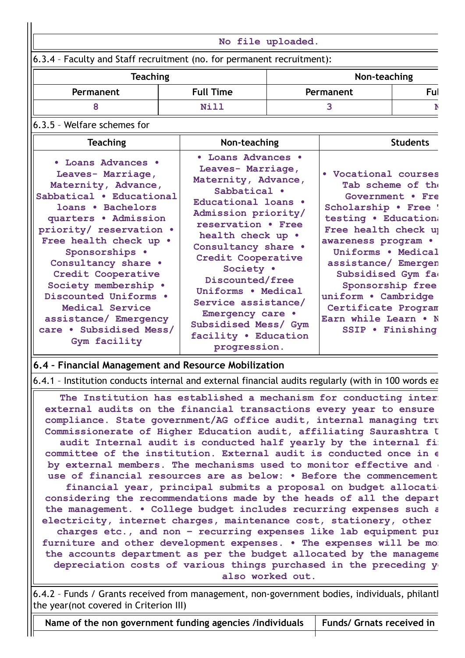|                                                                                                                                                                                                                                                                                                                                                                                                                                                                                                                                                                                                                                                                                                  |                                                                                                                                                                                                                                                                                                                                                                                       | No file uploaded.                                                                                                                                                                                                                                                                                                                           |              |                 |
|--------------------------------------------------------------------------------------------------------------------------------------------------------------------------------------------------------------------------------------------------------------------------------------------------------------------------------------------------------------------------------------------------------------------------------------------------------------------------------------------------------------------------------------------------------------------------------------------------------------------------------------------------------------------------------------------------|---------------------------------------------------------------------------------------------------------------------------------------------------------------------------------------------------------------------------------------------------------------------------------------------------------------------------------------------------------------------------------------|---------------------------------------------------------------------------------------------------------------------------------------------------------------------------------------------------------------------------------------------------------------------------------------------------------------------------------------------|--------------|-----------------|
| 6.3.4 - Faculty and Staff recruitment (no. for permanent recruitment):                                                                                                                                                                                                                                                                                                                                                                                                                                                                                                                                                                                                                           |                                                                                                                                                                                                                                                                                                                                                                                       |                                                                                                                                                                                                                                                                                                                                             |              |                 |
| <b>Teaching</b>                                                                                                                                                                                                                                                                                                                                                                                                                                                                                                                                                                                                                                                                                  |                                                                                                                                                                                                                                                                                                                                                                                       |                                                                                                                                                                                                                                                                                                                                             | Non-teaching |                 |
| Permanent                                                                                                                                                                                                                                                                                                                                                                                                                                                                                                                                                                                                                                                                                        | <b>Full Time</b>                                                                                                                                                                                                                                                                                                                                                                      | Permanent                                                                                                                                                                                                                                                                                                                                   |              | Ful             |
| 8                                                                                                                                                                                                                                                                                                                                                                                                                                                                                                                                                                                                                                                                                                | Nill                                                                                                                                                                                                                                                                                                                                                                                  | 3                                                                                                                                                                                                                                                                                                                                           |              |                 |
| 6.3.5 - Welfare schemes for                                                                                                                                                                                                                                                                                                                                                                                                                                                                                                                                                                                                                                                                      |                                                                                                                                                                                                                                                                                                                                                                                       |                                                                                                                                                                                                                                                                                                                                             |              |                 |
| <b>Teaching</b>                                                                                                                                                                                                                                                                                                                                                                                                                                                                                                                                                                                                                                                                                  | Non-teaching                                                                                                                                                                                                                                                                                                                                                                          |                                                                                                                                                                                                                                                                                                                                             |              | <b>Students</b> |
| • Loans Advances •<br>Leaves- Marriage,<br>Maternity, Advance,<br>Sabbatical . Educational<br>loans . Bachelors<br>quarters . Admission<br>priority/ reservation .<br>Free health check up .<br>Sponsorships .<br>Consultancy share .<br>Credit Cooperative<br>Society membership .<br>Discounted Uniforms .<br>Medical Service<br>assistance/ Emergency<br>care . Subsidised Mess/<br>Gym facility                                                                                                                                                                                                                                                                                              | • Loans Advances •<br>Leaves- Marriage,<br>Maternity, Advance,<br>Sabbatical .<br>Educational loans .<br>Admission priority/<br>reservation . Free<br>health check up .<br>Consultancy share .<br>Credit Cooperative<br>Society .<br>Discounted/free<br>Uniforms . Medical<br>Service assistance/<br>Emergency care .<br>Subsidised Mess/ Gym<br>facility . Education<br>progression. | • Vocational courses<br>Tab scheme of the<br>Government . Fre<br>Scholarship . Free !<br>testing . Education<br>Free health check up<br>awareness program .<br>Uniforms . Medical<br>assistance/ Emergen<br>Subsidised Gym fa<br>Sponsorship free<br>uniform · Cambridge<br>Certificate Program<br>Earn while Learn . N<br>SSIP . Finishing |              |                 |
| 6.4 - Financial Management and Resource Mobilization                                                                                                                                                                                                                                                                                                                                                                                                                                                                                                                                                                                                                                             |                                                                                                                                                                                                                                                                                                                                                                                       |                                                                                                                                                                                                                                                                                                                                             |              |                 |
| 6.4.1 - Institution conducts internal and external financial audits regularly (with in 100 words ea<br>external audits on the financial transactions every year to ensure<br>compliance. State government/AG office audit, internal managing tru<br>Commissionerate of Higher Education audit, affiliating Saurashtra U<br>committee of the institution. External audit is conducted once in $\epsilon$<br>by external members. The mechanisms used to monitor effective and<br>use of financial resources are as below: . Before the commencement<br>considering the recommendations made by the heads of all the depart<br>the management. . College budget includes recurring expenses such a | The Institution has established a mechanism for conducting inter<br>audit Internal audit is conducted half yearly by the internal fi<br>financial year, principal submits a proposal on budget allocati                                                                                                                                                                               |                                                                                                                                                                                                                                                                                                                                             |              |                 |

**charges etc., and non – recurring expenses like lab equipment pur furniture and other development expenses. • The expenses will be mon the accounts department as per the budget allocated by the manageme depreciation costs of various things purchased in the preceding ye also worked out.**

6.4.2 – Funds / Grants received from management, non-government bodies, individuals, philanth the year(not covered in Criterion III)

Name of the non government funding agencies /individuals | Funds/ Grnats received in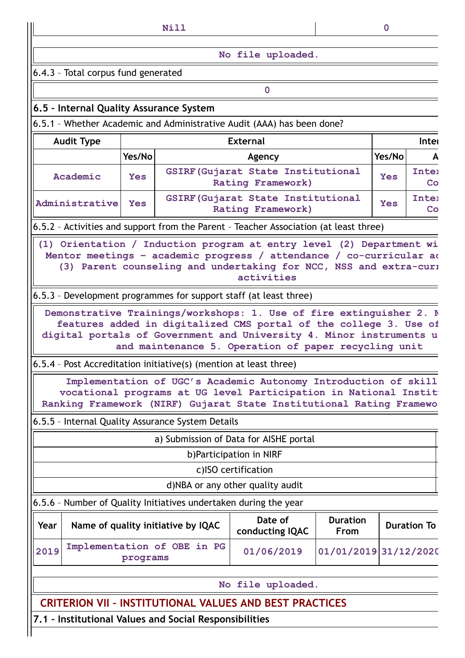|                                                                                       |            | Nill                               |                                                                                                                                                                                                                                |                                | $\overline{0}$                   |                    |  |
|---------------------------------------------------------------------------------------|------------|------------------------------------|--------------------------------------------------------------------------------------------------------------------------------------------------------------------------------------------------------------------------------|--------------------------------|----------------------------------|--------------------|--|
|                                                                                       |            |                                    | No file uploaded.                                                                                                                                                                                                              |                                |                                  |                    |  |
| 6.4.3 - Total corpus fund generated                                                   |            |                                    |                                                                                                                                                                                                                                |                                |                                  |                    |  |
|                                                                                       |            |                                    | $\mathbf 0$                                                                                                                                                                                                                    |                                |                                  |                    |  |
| 6.5 - Internal Quality Assurance System                                               |            |                                    |                                                                                                                                                                                                                                |                                |                                  |                    |  |
| 6.5.1 - Whether Academic and Administrative Audit (AAA) has been done?                |            |                                    |                                                                                                                                                                                                                                |                                |                                  |                    |  |
| <b>Audit Type</b>                                                                     |            |                                    | <b>External</b>                                                                                                                                                                                                                |                                |                                  | Inter              |  |
|                                                                                       | Yes/No     |                                    | Agency                                                                                                                                                                                                                         |                                | Yes/No                           | А                  |  |
| Academic                                                                              | <b>Yes</b> |                                    | <b>GSIRF (Gujarat State Institutional</b><br>Rating Framework)                                                                                                                                                                 |                                | <b>Inter</b><br><b>Yes</b><br>Co |                    |  |
| Administrative                                                                        | <b>Yes</b> |                                    | <b>GSIRF (Gujarat State Institutional</b><br>Rating Framework)                                                                                                                                                                 |                                | Yes                              | <b>Inter</b><br>Co |  |
| 6.5.2 - Activities and support from the Parent - Teacher Association (at least three) |            |                                    |                                                                                                                                                                                                                                |                                |                                  |                    |  |
|                                                                                       |            |                                    | (1) Orientation / Induction program at entry level (2) Department wi<br>Mentor meetings - academic progress / attendance / co-curricular ad<br>(3) Parent counseling and undertaking for NCC, NSS and extra-curi<br>activities |                                |                                  |                    |  |
| 6.5.3 - Development programmes for support staff (at least three)                     |            |                                    |                                                                                                                                                                                                                                |                                |                                  |                    |  |
| 6.5.4 - Post Accreditation initiative(s) (mention at least three)                     |            |                                    | features added in digitalized CMS portal of the college 3. Use of<br>digital portals of Government and University 4. Minor instruments u<br>and maintenance 5. Operation of paper recycling unit                               |                                |                                  |                    |  |
|                                                                                       |            |                                    | Implementation of UGC's Academic Autonomy Introduction of skill                                                                                                                                                                |                                |                                  |                    |  |
|                                                                                       |            |                                    | vocational programs at UG level Participation in National Instit<br>Ranking Framework (NIRF) Gujarat State Institutional Rating Framewo                                                                                        |                                |                                  |                    |  |
| 6.5.5 - Internal Quality Assurance System Details                                     |            |                                    |                                                                                                                                                                                                                                |                                |                                  |                    |  |
|                                                                                       |            |                                    | a) Submission of Data for AISHE portal                                                                                                                                                                                         |                                |                                  |                    |  |
|                                                                                       |            |                                    | b)Participation in NIRF                                                                                                                                                                                                        |                                |                                  |                    |  |
|                                                                                       |            |                                    | c)ISO certification                                                                                                                                                                                                            |                                |                                  |                    |  |
|                                                                                       |            |                                    | d)NBA or any other quality audit                                                                                                                                                                                               |                                |                                  |                    |  |
| 6.5.6 - Number of Quality Initiatives undertaken during the year                      |            |                                    |                                                                                                                                                                                                                                |                                |                                  |                    |  |
| Year                                                                                  |            | Name of quality initiative by IQAC | Date of<br>conducting IQAC                                                                                                                                                                                                     | <b>Duration</b><br><b>From</b> |                                  | <b>Duration To</b> |  |
| 2019                                                                                  | programs   | Implementation of OBE in PG        | 01/06/2019                                                                                                                                                                                                                     | 01/01/2019 31/12/2020          |                                  |                    |  |
|                                                                                       |            |                                    | No file uploaded.                                                                                                                                                                                                              |                                |                                  |                    |  |
|                                                                                       |            |                                    | <b>CRITERION VII - INSTITUTIONAL VALUES AND BEST PRACTICES</b>                                                                                                                                                                 |                                |                                  |                    |  |
| 7.1 - Institutional Values and Social Responsibilities                                |            |                                    |                                                                                                                                                                                                                                |                                |                                  |                    |  |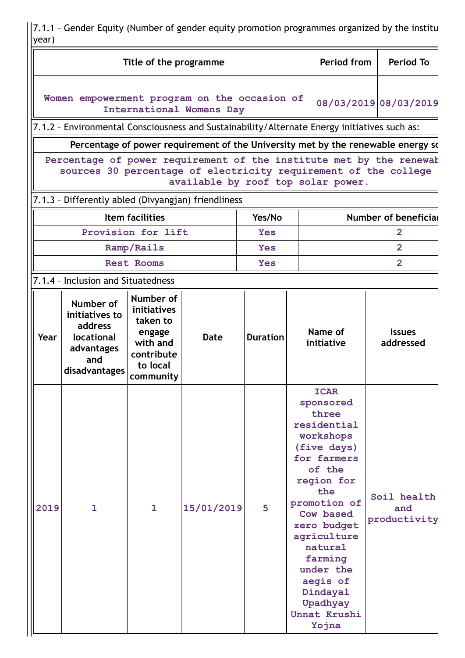7.1.1 – Gender Equity (Number of gender equity promotion programmes organized by the institu year)

| Title of the programme                                                                                                                                                       |                                                                                              |                                                                                                   |            |                 |  | Period from                                                                                                                                                                                                                                                                           | <b>Period To</b>                                                                 |  |
|------------------------------------------------------------------------------------------------------------------------------------------------------------------------------|----------------------------------------------------------------------------------------------|---------------------------------------------------------------------------------------------------|------------|-----------------|--|---------------------------------------------------------------------------------------------------------------------------------------------------------------------------------------------------------------------------------------------------------------------------------------|----------------------------------------------------------------------------------|--|
|                                                                                                                                                                              |                                                                                              |                                                                                                   |            |                 |  |                                                                                                                                                                                                                                                                                       |                                                                                  |  |
| Women empowerment program on the occasion of<br>International Womens Day                                                                                                     |                                                                                              |                                                                                                   |            |                 |  |                                                                                                                                                                                                                                                                                       | 08/03/2019 08/03/2019                                                            |  |
|                                                                                                                                                                              | 7.1.2 - Environmental Consciousness and Sustainability/Alternate Energy initiatives such as: |                                                                                                   |            |                 |  |                                                                                                                                                                                                                                                                                       |                                                                                  |  |
|                                                                                                                                                                              |                                                                                              |                                                                                                   |            |                 |  |                                                                                                                                                                                                                                                                                       | Percentage of power requirement of the University met by the renewable energy sc |  |
| Percentage of power requirement of the institute met by the renewak<br>sources 30 percentage of electricity requirement of the college<br>available by roof top solar power. |                                                                                              |                                                                                                   |            |                 |  |                                                                                                                                                                                                                                                                                       |                                                                                  |  |
|                                                                                                                                                                              | 7.1.3 - Differently abled (Divyangjan) friendliness                                          |                                                                                                   |            |                 |  |                                                                                                                                                                                                                                                                                       |                                                                                  |  |
|                                                                                                                                                                              |                                                                                              | <b>Item facilities</b>                                                                            |            | Yes/No          |  | Number of beneficial                                                                                                                                                                                                                                                                  |                                                                                  |  |
|                                                                                                                                                                              |                                                                                              | Provision for lift                                                                                |            | <b>Yes</b>      |  |                                                                                                                                                                                                                                                                                       | 2                                                                                |  |
|                                                                                                                                                                              |                                                                                              | Ramp/Rails                                                                                        |            | <b>Yes</b>      |  |                                                                                                                                                                                                                                                                                       | $\overline{2}$                                                                   |  |
|                                                                                                                                                                              |                                                                                              | <b>Rest Rooms</b>                                                                                 |            | <b>Yes</b>      |  |                                                                                                                                                                                                                                                                                       | $\overline{2}$                                                                   |  |
|                                                                                                                                                                              | 7.1.4 - Inclusion and Situatedness                                                           |                                                                                                   |            |                 |  |                                                                                                                                                                                                                                                                                       |                                                                                  |  |
| Year                                                                                                                                                                         | Number of<br>initiatives to<br>address<br>locational<br>advantages<br>and<br>disadvantages   | Number of<br>initiatives<br>taken to<br>engage<br>with and<br>contribute<br>to local<br>community | Date       | <b>Duration</b> |  | Name of<br>initiative                                                                                                                                                                                                                                                                 | <b>Issues</b><br>addressed                                                       |  |
| 2019                                                                                                                                                                         | $\mathbf{1}$                                                                                 | $\mathbf{1}$                                                                                      | 15/01/2019 | 5               |  | <b>ICAR</b><br>sponsored<br>three<br>residential<br>workshops<br>(five days)<br>for farmers<br>of the<br>region for<br>the<br>promotion of<br>Cow based<br>zero budget<br>agriculture<br>natural<br>farming<br>under the<br>aegis of<br>Dindayal<br>Upadhyay<br>Unnat Krushi<br>Yojna | Soil health<br>and<br>productivity                                               |  |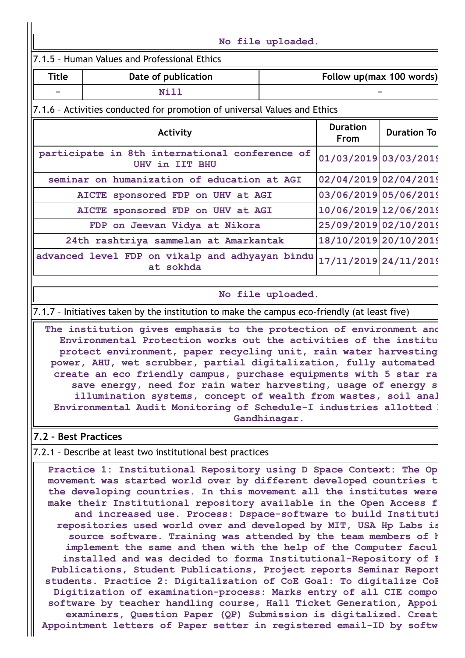## 7.1.5 – Human Values and Professional Ethics

| Title | Date of publication | Follow up(max 100 words) |
|-------|---------------------|--------------------------|
| ÷     | ឋ÷1 1               |                          |

**No file uploaded.**

## 7.1.6 – Activities conducted for promotion of universal Values and Ethics

| Activity                                                         | <b>Duration</b><br><b>From</b> | <b>Duration To</b> |
|------------------------------------------------------------------|--------------------------------|--------------------|
| participate in 8th international conference of<br>UHV in IIT BHU | 01/03/2019 03/03/2019          |                    |
| seminar on humanization of education at AGI                      | 02/04/2019 02/04/2019          |                    |
| AICTE sponsored FDP on UHV at AGI                                | 03/06/2019 05/06/2019          |                    |
| AICTE sponsored FDP on UHV at AGI                                | 10/06/2019 12/06/2019          |                    |
| FDP on Jeevan Vidya at Nikora                                    | 25/09/2019 02/10/2019          |                    |
| 24th rashtriya sammelan at Amarkantak                            | 18/10/2019 20/10/2019          |                    |
| advanced level FDP on vikalp and adhyayan bindu<br>at sokhda     | 17/11/2019 24/11/2019          |                    |

#### **No file uploaded.**

7.1.7 – Initiatives taken by the institution to make the campus eco-friendly (at least five)

**The institution gives emphasis to the protection of environment and Environmental Protection works out the activities of the institu protect environment, paper recycling unit, rain water harvesting power, AHU, wet scrubber, partial digitalization, fully automated create an eco friendly campus, purchase equipments with 5 star ra save energy, need for rain water harvesting, usage of energy sa illumination systems, concept of wealth from wastes, soil anal Environmental Audit Monitoring of Schedule-I industries allotted b Gandhinagar.**

## **7.2 – Best Practices**

## 7.2.1 – Describe at least two institutional best practices

**Practice 1: Institutional Repository using D Space Context: The Ope movement was started world over by different developed countries to the developing countries. In this movement all the institutes were make their Institutional repository available in the Open Access fo and increased use. Process: Dspace-software to build Instituti repositories used world over and developed by MIT, USA Hp Labs is source software. Training was attended by the team members of h implement the same and then with the help of the Computer facul installed and was decided to forma Institutional-Repository of F Publications, Student Publications, Project reports Seminar Report students. Practice 2: Digitalization of CoE Goal: To digitalize CoE Digitization of examination-process: Marks entry of all CIE compon software by teacher handling course, Hall Ticket Generation, Appoin examiners, Question Paper (QP) Submission is digitalized. Create Appointment letters of Paper setter in registered email-ID by softwa**